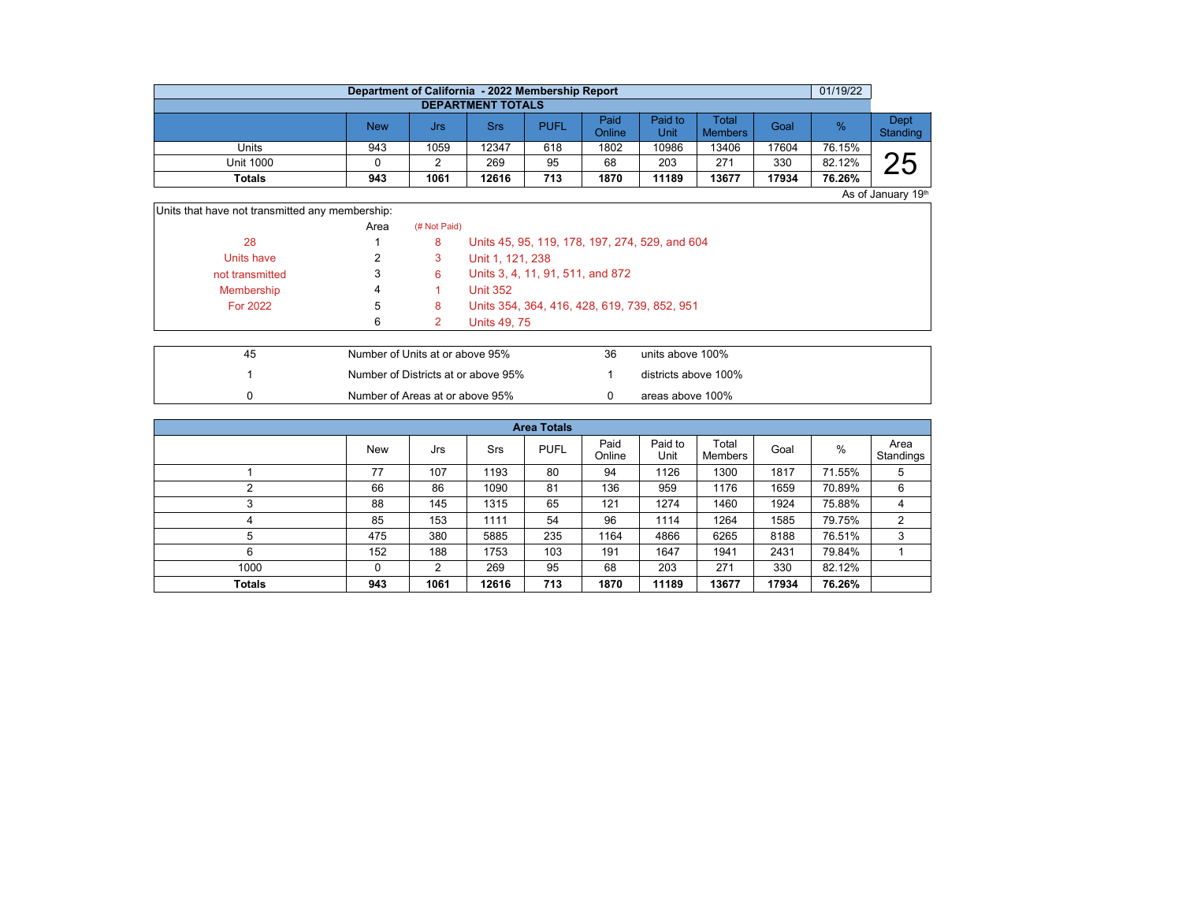| 01/19/22<br>Department of California - 2022 Membership Report |            |      |       |             |                |                 |                         |       |        |                  |  |  |  |  |
|---------------------------------------------------------------|------------|------|-------|-------------|----------------|-----------------|-------------------------|-------|--------|------------------|--|--|--|--|
| <b>DEPARTMENT TOTALS</b>                                      |            |      |       |             |                |                 |                         |       |        |                  |  |  |  |  |
|                                                               | <b>New</b> | Jrs  | Srs   | <b>PUFL</b> | Paid<br>Online | Paid to<br>Unit | Total<br><b>Members</b> | Goal  | %      | Dept<br>Standing |  |  |  |  |
| Units                                                         | 943        | 1059 | 12347 | 618         | 1802           | 10986           | 13406                   | 17604 | 76.15% |                  |  |  |  |  |
| <b>Unit 1000</b>                                              |            |      | 269   | 95          | 68             | 203             | 271                     | 330   | 82.12% | $\cap$ $\Gamma$  |  |  |  |  |
| Totals                                                        | 943        | 1061 | 12616 | 713         | 1870           | 11189           | 13677                   | 17934 | 76.26% |                  |  |  |  |  |

As of January 19th

| Units that have not transmitted any membership: |      |              |                                                |  |
|-------------------------------------------------|------|--------------|------------------------------------------------|--|
|                                                 |      |              |                                                |  |
|                                                 | Area | (# Not Paid) |                                                |  |
| 28                                              |      | 8            | Units 45, 95, 119, 178, 197, 274, 529, and 604 |  |
| Units have                                      |      | 3            | Unit 1, 121, 238                               |  |
| not transmitted                                 |      | 6            | Units 3, 4, 11, 91, 511, and 872               |  |
| Membership                                      | 4    |              | <b>Unit 352</b>                                |  |
| For 2022                                        | 5    | 8            | Units 354, 364, 416, 428, 619, 739, 852, 951   |  |
|                                                 | 6    |              | <b>Units 49, 75</b>                            |  |
|                                                 |      |              |                                                |  |

| 45 | Number of Units at or above 95%     | 36 | units above 100%     |
|----|-------------------------------------|----|----------------------|
|    | Number of Districts at or above 95% |    | districts above 100% |
|    | Number of Areas at or above 95%     |    | areas above 100%     |

| <b>Area Totals</b> |            |      |       |             |                |                 |                  |       |        |                   |  |  |  |
|--------------------|------------|------|-------|-------------|----------------|-----------------|------------------|-------|--------|-------------------|--|--|--|
|                    | <b>New</b> | Jrs  | Srs   | <b>PUFL</b> | Paid<br>Online | Paid to<br>Unit | Total<br>Members | Goal  | %      | Area<br>Standings |  |  |  |
|                    | 77         | 107  | 1193  | 80          | 94             | 1126            | 1300             | 1817  | 71.55% | 5                 |  |  |  |
|                    | 66         | 86   | 1090  | 81          | 136            | 959             | 1176             | 1659  | 70.89% | 6                 |  |  |  |
| $\sqrt{2}$<br>د    | 88         | 145  | 1315  | 65          | 121            | 1274            | 1460             | 1924  | 75.88% | 4                 |  |  |  |
| 4                  | 85         | 153  | 1111  | 54          | 96             | 1114            | 1264             | 1585  | 79.75% | 2                 |  |  |  |
| 5                  | 475        | 380  | 5885  | 235         | 1164           | 4866            | 6265             | 8188  | 76.51% | 3                 |  |  |  |
| 6                  | 152        | 188  | 1753  | 103         | 191            | 1647            | 1941             | 2431  | 79.84% |                   |  |  |  |
| 1000               | 0          | 2    | 269   | 95          | 68             | 203             | 271              | 330   | 82.12% |                   |  |  |  |
| <b>Totals</b>      | 943        | 1061 | 12616 | 713         | 1870           | 11189           | 13677            | 17934 | 76.26% |                   |  |  |  |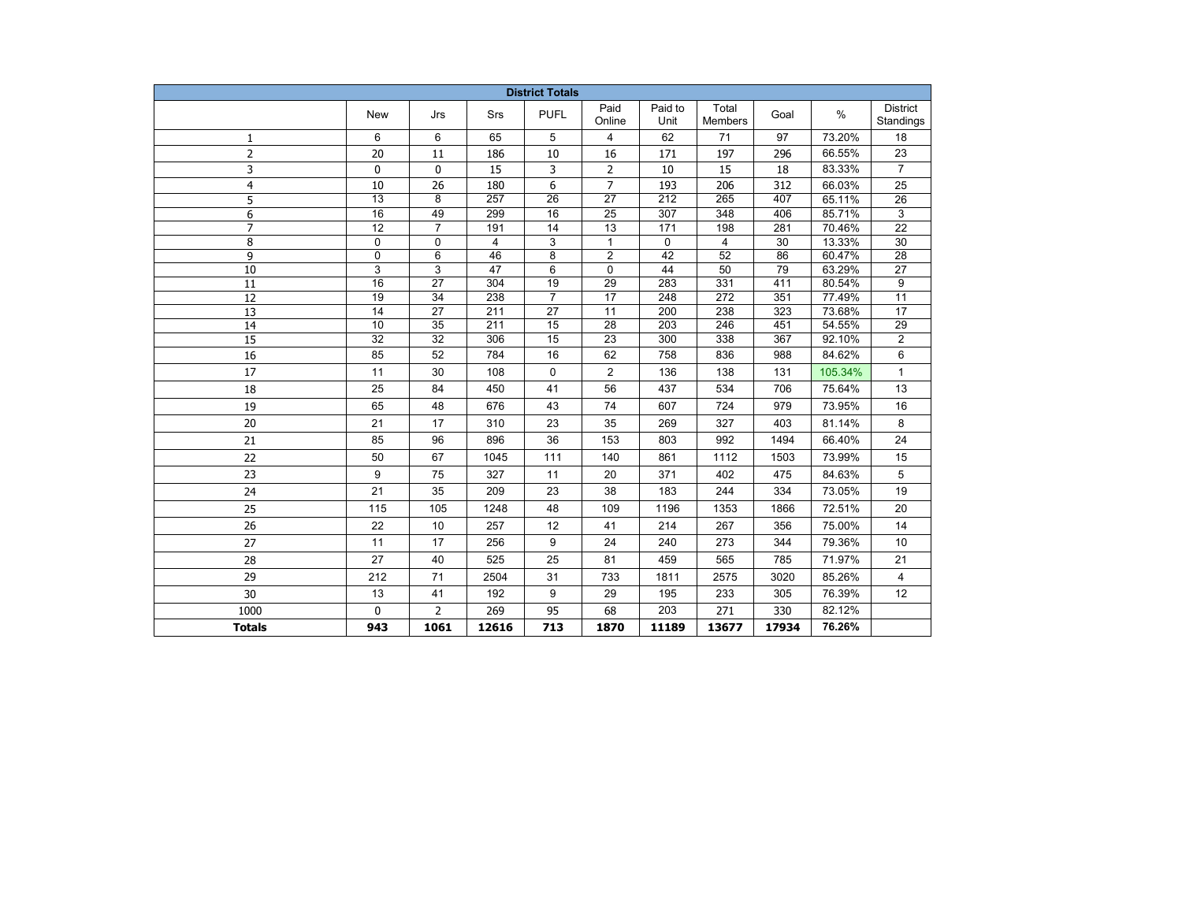| <b>District Totals</b> |                       |                                    |                         |                 |                                    |                  |                  |       |         |                              |  |
|------------------------|-----------------------|------------------------------------|-------------------------|-----------------|------------------------------------|------------------|------------------|-------|---------|------------------------------|--|
|                        | <b>New</b>            | Jrs                                | Srs                     | <b>PUFL</b>     | Paid<br>Online                     | Paid to<br>Unit  | Total<br>Members | Goal  | $\%$    | <b>District</b><br>Standings |  |
| $\mathbf{1}$           | 6                     | 6                                  | 65                      | 5               | 4                                  | 62               | 71               | 97    | 73.20%  | 18                           |  |
| $\overline{2}$         | 20                    | 11                                 | 186                     | 10              | 16                                 | 171              | 197              | 296   | 66.55%  | 23                           |  |
| 3                      | 0                     | 0                                  | 15                      | 3               | $\overline{2}$                     | 10               | 15               | 18    | 83.33%  | $\overline{7}$               |  |
| $\overline{4}$         | 10                    | 26                                 | 180                     | 6               | $\overline{7}$                     | 193              | 206              | 312   | 66.03%  | 25                           |  |
| 5                      | $\overline{13}$       | $\overline{8}$                     | 257                     | $\overline{26}$ | $\overline{27}$                    | 212              | 265              | 407   | 65.11%  | 26                           |  |
| 6                      | 16                    | 49                                 | 299                     | 16              | $\overline{25}$                    | $\overline{307}$ | 348              | 406   | 85.71%  | 3                            |  |
| $\overline{7}$         | $\overline{12}$       | $\overline{7}$                     | 191                     | 14              | $\overline{13}$                    | 171              | 198              | 281   | 70.46%  | $\overline{22}$              |  |
| 8                      | $\mathbf 0$           | 0                                  | 4                       | 3               | $\mathbf{1}$                       | $\mathbf 0$      | $\overline{4}$   | 30    | 13.33%  | $\overline{30}$              |  |
| 9                      | $\mathbf 0$           | 6                                  | 46                      | 8               | $\overline{2}$                     | 42               | 52               | 86    | 60.47%  | 28                           |  |
| 10                     | $\overline{3}$        | 3                                  | 47                      | 6               | $\mathbf 0$                        | 44               | 50               | 79    | 63.29%  | 27                           |  |
| 11                     | 16                    | 27                                 | 304                     | 19              | 29                                 | 283              | 331              | 411   | 80.54%  | 9                            |  |
| 12                     | 19                    | 34                                 | 238                     | $\overline{7}$  | 17                                 | 248              | 272              | 351   | 77.49%  | 11                           |  |
| 13                     | 14                    | 27                                 | 211                     | 27              | 11                                 | 200              | 238              | 323   | 73.68%  | 17                           |  |
| 14<br>$\overline{15}$  | 10<br>$\overline{32}$ | $\overline{35}$<br>$\overline{32}$ | $\overline{211}$<br>306 | 15              | $\overline{28}$<br>$\overline{23}$ | 203              | 246<br>338       | 451   | 54.55%  | $\overline{29}$              |  |
|                        |                       |                                    |                         | 15              |                                    | 300              |                  | 367   | 92.10%  | $\overline{2}$               |  |
| 16                     | 85                    | 52                                 | 784                     | 16              | 62                                 | 758              | 836              | 988   | 84.62%  | 6                            |  |
| 17                     | 11                    | 30                                 | 108                     | 0               | $\overline{2}$                     | 136              | 138              | 131   | 105.34% | $\mathbf{1}$                 |  |
| 18                     | 25                    | 84                                 | 450                     | 41              | 56                                 | 437              | 534              | 706   | 75.64%  | 13                           |  |
| 19                     | 65                    | 48                                 | 676                     | 43              | 74                                 | 607              | 724              | 979   | 73.95%  | 16                           |  |
| 20                     | 21                    | 17                                 | 310                     | 23              | 35                                 | 269              | 327              | 403   | 81.14%  | 8                            |  |
| 21                     | 85                    | 96                                 | 896                     | 36              | 153                                | 803              | 992              | 1494  | 66.40%  | 24                           |  |
| 22                     | 50                    | 67                                 | 1045                    | 111             | 140                                | 861              | 1112             | 1503  | 73.99%  | 15                           |  |
| 23                     | 9                     | 75                                 | 327                     | 11              | 20                                 | 371              | 402              | 475   | 84.63%  | 5                            |  |
| 24                     | 21                    | 35                                 | 209                     | 23              | 38                                 | 183              | 244              | 334   | 73.05%  | 19                           |  |
| 25                     | 115                   | 105                                | 1248                    | 48              | 109                                | 1196             | 1353             | 1866  | 72.51%  | 20                           |  |
| 26                     | 22                    | 10                                 | 257                     | 12              | 41                                 | 214              | 267              | 356   | 75.00%  | 14                           |  |
| 27                     | 11                    | 17                                 | 256                     | 9               | 24                                 | 240              | 273              | 344   | 79.36%  | 10                           |  |
| 28                     | 27                    | 40                                 | 525                     | 25              | 81                                 | 459              | 565              | 785   | 71.97%  | 21                           |  |
| 29                     | 212                   | 71                                 | 2504                    | 31              | 733                                | 1811             | 2575             | 3020  | 85.26%  | 4                            |  |
| 30                     | 13                    | 41                                 | 192                     | 9               | 29                                 | 195              | 233              | 305   | 76.39%  | 12                           |  |
| 1000                   | 0                     | $\overline{2}$                     | 269                     | 95              | 68                                 | 203              | 271              | 330   | 82.12%  |                              |  |
| <b>Totals</b>          | 943                   | 1061                               | 12616                   | 713             | 1870                               | 11189            | 13677            | 17934 | 76.26%  |                              |  |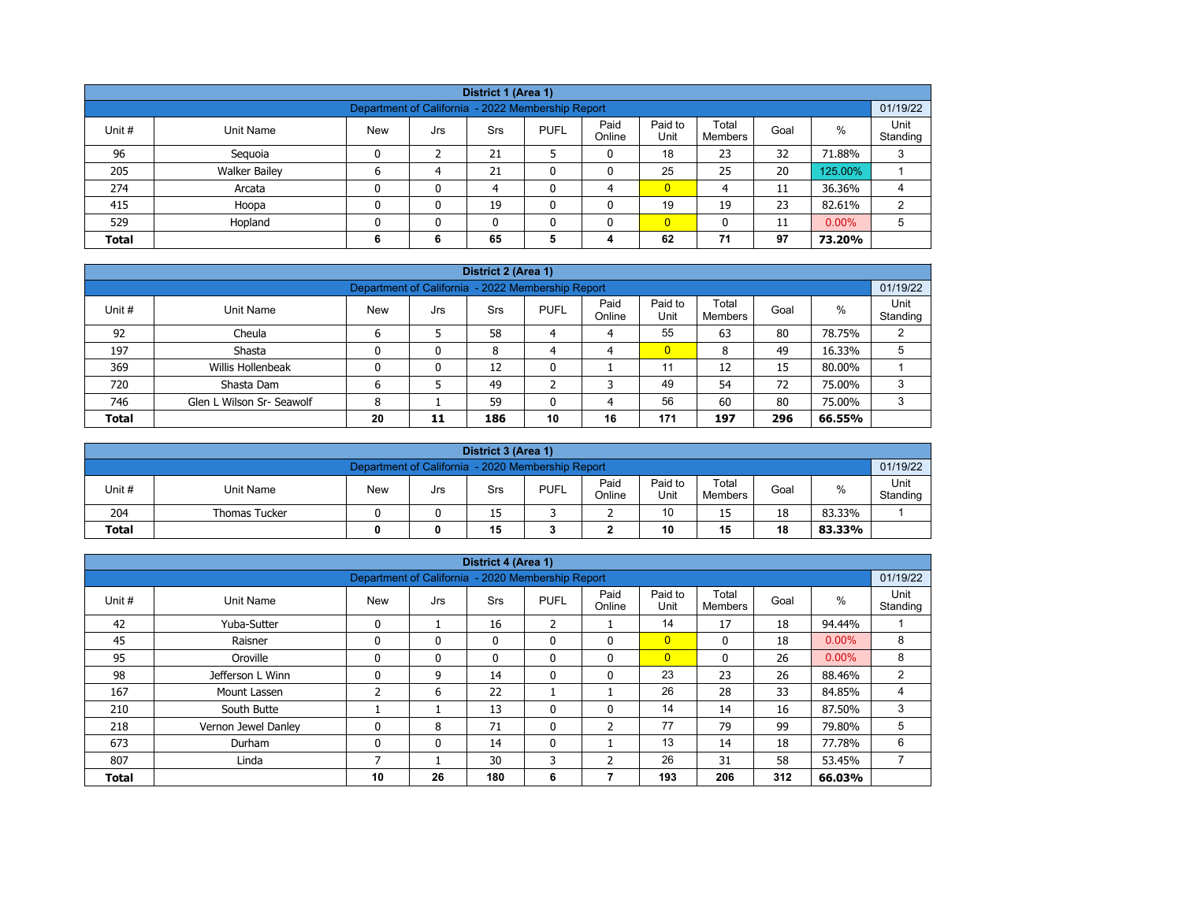| District 1 (Area 1)                                                                                                                                   |                                                                      |   |   |    |   |              |                |    |    |          |   |  |  |  |
|-------------------------------------------------------------------------------------------------------------------------------------------------------|----------------------------------------------------------------------|---|---|----|---|--------------|----------------|----|----|----------|---|--|--|--|
| 01/19/22<br>Department of California - 2022 Membership Report                                                                                         |                                                                      |   |   |    |   |              |                |    |    |          |   |  |  |  |
| Paid<br>Paid to<br>Total<br>$\%$<br>Unit #<br><b>PUFL</b><br>Goal<br>Unit Name<br><b>New</b><br><b>Srs</b><br>Jrs<br>Online<br>Unit<br><b>Members</b> |                                                                      |   |   |    |   |              |                |    |    |          |   |  |  |  |
| 96                                                                                                                                                    | Standing<br>32<br>18<br>21<br>23<br>71.88%<br>3<br>Seguoia<br>0<br>0 |   |   |    |   |              |                |    |    |          |   |  |  |  |
| 205                                                                                                                                                   | <b>Walker Bailey</b>                                                 | 6 | 4 | 21 |   | 0            | 25             | 25 | 20 | 125.00%  |   |  |  |  |
| 274                                                                                                                                                   | Arcata                                                               | n | 0 | 4  |   | 4            | $\overline{0}$ | 4  | 11 | 36.36%   | 4 |  |  |  |
| 415                                                                                                                                                   | Hoopa                                                                | 0 | 0 | 19 | ٥ | 0            | 19             | 19 | 23 | 82.61%   | 2 |  |  |  |
| 529                                                                                                                                                   | Hopland                                                              | n | 0 |    |   | $\mathbf{0}$ | $\overline{0}$ | 0  | 11 | $0.00\%$ | 5 |  |  |  |
| <b>Total</b>                                                                                                                                          |                                                                      | 6 | 6 | 65 | 5 | 4            | 62             | 71 | 97 | 73.20%   |   |  |  |  |

| District 2 (Area 1) |                                                                                                                                      |    |    |     |    |    |                |     |     |        |   |  |  |  |  |
|---------------------|--------------------------------------------------------------------------------------------------------------------------------------|----|----|-----|----|----|----------------|-----|-----|--------|---|--|--|--|--|
|                     | 01/19/22<br>Department of California - 2022 Membership Report                                                                        |    |    |     |    |    |                |     |     |        |   |  |  |  |  |
| Unit #              | Paid<br>Paid to<br>Total<br>$\%$<br><b>PUFL</b><br><b>New</b><br>Unit Name<br>Goal<br><b>Srs</b><br>Jrs<br>Online<br>Unit<br>Members |    |    |     |    |    |                |     |     |        |   |  |  |  |  |
| 92                  | Standing<br>55<br>80<br>63<br>Cheula<br>58<br>78.75%<br>4<br>4                                                                       |    |    |     |    |    |                |     |     |        |   |  |  |  |  |
| 197                 | Shasta                                                                                                                               |    | 0  | 8   | 4  | 4  | $\overline{0}$ | 8   | 49  | 16.33% |   |  |  |  |  |
| 369                 | Willis Hollenbeak                                                                                                                    |    | 0  | 12  | 0  |    | 11             | 12  | 15  | 80.00% |   |  |  |  |  |
| 720                 | Shasta Dam                                                                                                                           |    |    | 49  |    | っ  | 49             | 54  | 72  | 75.00% | 3 |  |  |  |  |
| 746                 | Glen L Wilson Sr- Seawolf                                                                                                            | 8  |    | 59  |    | 4  | 56             | 60  | 80  | 75.00% | 3 |  |  |  |  |
| <b>Total</b>        |                                                                                                                                      | 20 | 11 | 186 | 10 | 16 | 171            | 197 | 296 | 66.55% |   |  |  |  |  |

| District 3 (Area 1)                                                                                                                                    |                                     |  |  |    |  |   |    |    |    |        |  |  |  |
|--------------------------------------------------------------------------------------------------------------------------------------------------------|-------------------------------------|--|--|----|--|---|----|----|----|--------|--|--|--|
| 01/19/22<br>Department of California - 2020 Membership Report                                                                                          |                                     |  |  |    |  |   |    |    |    |        |  |  |  |
| Paid<br>Paid to<br>Total<br>%<br>Unit#<br><b>PUFL</b><br><b>New</b><br>Unit Name<br>Goal<br>Srs<br>Jrs<br>Online<br>Unit<br>Standing<br><b>Members</b> |                                     |  |  |    |  |   |    |    |    |        |  |  |  |
| 204                                                                                                                                                    | <b>Thomas Tucker</b>                |  |  | 15 |  | - | 10 | 15 | 18 | 83.33% |  |  |  |
| <b>Total</b>                                                                                                                                           | 15<br>10<br>18<br>15<br>83.33%<br>0 |  |  |    |  |   |    |    |    |        |  |  |  |

| District 4 (Area 1)                                                                                                                          |                                                               |                |     |     |              |                |                 |                  |      |        |                  |  |  |  |  |
|----------------------------------------------------------------------------------------------------------------------------------------------|---------------------------------------------------------------|----------------|-----|-----|--------------|----------------|-----------------|------------------|------|--------|------------------|--|--|--|--|
|                                                                                                                                              | Department of California - 2020 Membership Report<br>01/19/22 |                |     |     |              |                |                 |                  |      |        |                  |  |  |  |  |
| Unit #                                                                                                                                       | <b>Unit Name</b>                                              | <b>New</b>     | Jrs | Srs | <b>PUFL</b>  | Paid<br>Online | Paid to<br>Unit | Total<br>Members | Goal | $\%$   | Unit<br>Standing |  |  |  |  |
| 42<br>14<br>16<br>$\overline{2}$<br>17<br>18<br>$\mathbf{0}$<br>94.44%<br>Yuba-Sutter                                                        |                                                               |                |     |     |              |                |                 |                  |      |        |                  |  |  |  |  |
| $\overline{0}$<br>8<br>45<br>18<br>$0.00\%$<br>Raisner<br>0<br>$\mathbf{0}$<br>0<br>$\mathbf{0}$<br>$\mathbf{0}$<br>$\mathbf{0}$             |                                                               |                |     |     |              |                |                 |                  |      |        |                  |  |  |  |  |
| $\overline{0}$<br>95<br>26<br>$0.00\%$<br>8<br>0<br>$\mathbf{0}$<br>$\mathbf{0}$<br>$\mathbf{0}$<br>$\mathbf{0}$<br>$\mathbf{0}$<br>Oroville |                                                               |                |     |     |              |                |                 |                  |      |        |                  |  |  |  |  |
| 98                                                                                                                                           | Jefferson L Winn                                              | $\Omega$       | 9   | 14  | 0            | 0              | 23              | 23               | 26   | 88.46% | $\overline{2}$   |  |  |  |  |
| 167                                                                                                                                          | Mount Lassen                                                  | $\overline{2}$ | 6   | 22  |              |                | 26              | 28               | 33   | 84.85% | 4                |  |  |  |  |
| 210                                                                                                                                          | South Butte                                                   |                |     | 13  | 0            | $\mathbf{0}$   | 14              | 14               | 16   | 87.50% | 3                |  |  |  |  |
| 218                                                                                                                                          | Vernon Jewel Danley                                           |                | 8   | 71  | 0            | 2              | 77              | 79               | 99   | 79.80% | 5                |  |  |  |  |
| 673                                                                                                                                          | Durham                                                        | $\mathbf{0}$   | 0   | 14  | $\mathbf{0}$ |                | 13              | 14               | 18   | 77.78% | 6                |  |  |  |  |
| 807                                                                                                                                          | Linda                                                         |                |     | 30  | 3            | 2              | 26              | 31               | 58   | 53.45% | 7                |  |  |  |  |
| <b>Total</b>                                                                                                                                 |                                                               | 10             | 26  | 180 | 6            |                | 193             | 206              | 312  | 66.03% |                  |  |  |  |  |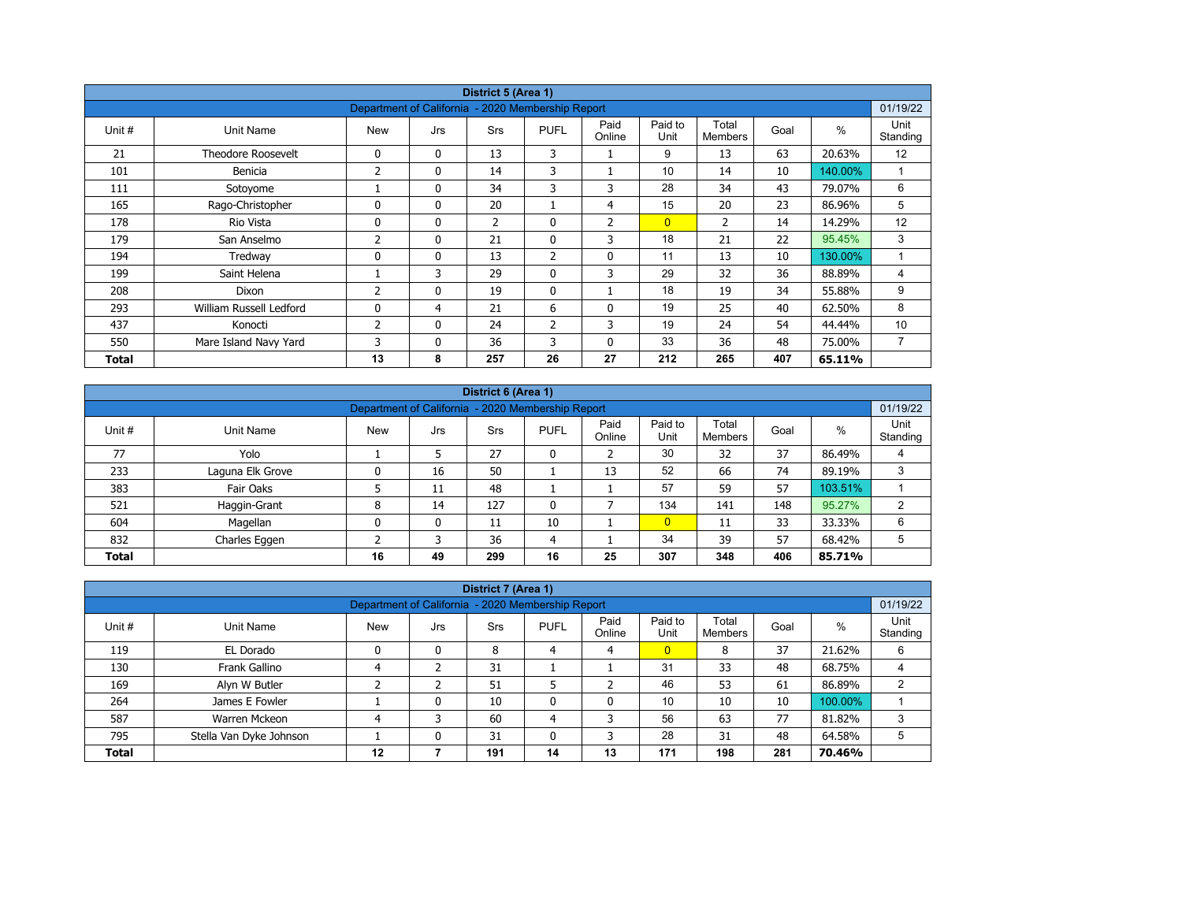| District 5 (Area 1)                                                                                |                                                               |                |              |                |              |                |                 |                         |      |         |                  |  |  |  |  |
|----------------------------------------------------------------------------------------------------|---------------------------------------------------------------|----------------|--------------|----------------|--------------|----------------|-----------------|-------------------------|------|---------|------------------|--|--|--|--|
|                                                                                                    | 01/19/22<br>Department of California - 2020 Membership Report |                |              |                |              |                |                 |                         |      |         |                  |  |  |  |  |
| Unit #                                                                                             | Unit Name                                                     | <b>New</b>     | Jrs          | Srs            | <b>PUFL</b>  | Paid<br>Online | Paid to<br>Unit | Total<br><b>Members</b> | Goal | $\%$    | Unit<br>Standing |  |  |  |  |
| 21                                                                                                 | <b>Theodore Roosevelt</b>                                     | $\Omega$       | $\mathbf{0}$ | 13             | 3            |                | 9               | 13                      | 63   | 20.63%  | 12               |  |  |  |  |
| 3<br>10<br>2<br>10<br>140.00%<br>0<br>14<br>14<br>101<br>Benicia                                   |                                                               |                |              |                |              |                |                 |                         |      |         |                  |  |  |  |  |
| 3<br>28<br>6<br>3<br>34<br>111<br>$\mathbf{0}$<br>34<br>43<br>79.07%<br>Sotoyome                   |                                                               |                |              |                |              |                |                 |                         |      |         |                  |  |  |  |  |
| 5<br>15<br>165<br>0<br>20<br>20<br>23<br>Rago-Christopher<br>0<br>4<br>86.96%                      |                                                               |                |              |                |              |                |                 |                         |      |         |                  |  |  |  |  |
| 178                                                                                                | Rio Vista                                                     | $\mathbf{0}$   | $\mathbf{0}$ | $\overline{2}$ | $\mathbf{0}$ | 2              | $\overline{0}$  | 2                       | 14   | 14.29%  | 12               |  |  |  |  |
| 179                                                                                                | San Anselmo                                                   | $\overline{2}$ | $\mathbf{0}$ | 21             | 0            | 3              | 18              | 21                      | 22   | 95.45%  | 3                |  |  |  |  |
| 194                                                                                                | Tredway                                                       | 0              | 0            | 13             | 2            | $\mathbf 0$    | 11              | 13                      | 10   | 130.00% |                  |  |  |  |  |
| 199                                                                                                | Saint Helena                                                  |                | 3            | 29             | $\mathbf{0}$ | 3              | 29              | 32                      | 36   | 88.89%  | 4                |  |  |  |  |
| 208                                                                                                | Dixon                                                         | 2              | $\mathbf{0}$ | 19             | $\mathbf{0}$ | ÷.             | 18              | 19                      | 34   | 55.88%  | 9                |  |  |  |  |
| 293                                                                                                | William Russell Ledford                                       | 0              | 4            | 21             | 6            | $\mathbf{0}$   | 19              | 25                      | 40   | 62.50%  | 8                |  |  |  |  |
| 437                                                                                                | Konocti                                                       | 2              | $\mathbf{0}$ | 24             | 2            | 3              | 19              | 24                      | 54   | 44.44%  | 10               |  |  |  |  |
| 33<br>7<br>3<br>36<br>3<br>36<br>48<br>550<br>$\mathbf{0}$<br>0<br>75.00%<br>Mare Island Navy Yard |                                                               |                |              |                |              |                |                 |                         |      |         |                  |  |  |  |  |
| Total                                                                                              |                                                               | 13             | 8            | 257            | 26           | 27             | 212             | 265                     | 407  | 65.11%  |                  |  |  |  |  |

| District 6 (Area 1) |                                                                                                                                                  |    |    |     |    |    |                |     |     |         |   |  |  |  |
|---------------------|--------------------------------------------------------------------------------------------------------------------------------------------------|----|----|-----|----|----|----------------|-----|-----|---------|---|--|--|--|
|                     | 01/19/22<br>Department of California - 2020 Membership Report                                                                                    |    |    |     |    |    |                |     |     |         |   |  |  |  |
| Unit #              | Paid<br>Paid to<br>Total<br>$\%$<br><b>PUFL</b><br>Goal<br><b>Srs</b><br>Unit Name<br><b>New</b><br>Jrs<br>Unit<br>Standing<br>Online<br>Members |    |    |     |    |    |                |     |     |         |   |  |  |  |
| 77                  | 30<br>Yolo<br>37<br>5<br>27<br>32<br>86.49%<br>0<br>4                                                                                            |    |    |     |    |    |                |     |     |         |   |  |  |  |
| 233                 | Laguna Elk Grove                                                                                                                                 | 0  | 16 | 50  |    | 13 | 52             | 66  | 74  | 89.19%  | 3 |  |  |  |
| 383                 | Fair Oaks                                                                                                                                        |    | 11 | 48  |    |    | 57             | 59  | 57  | 103.51% |   |  |  |  |
| 521                 | Haggin-Grant                                                                                                                                     | 8  | 14 | 127 | 0  |    | 134            | 141 | 148 | 95.27%  | C |  |  |  |
| 604                 | Magellan                                                                                                                                         | 0  | 0  | 11  | 10 |    | $\overline{0}$ | 11  | 33  | 33.33%  | 6 |  |  |  |
| 832                 | Charles Eggen                                                                                                                                    |    |    | 36  | 4  |    | 34             | 39  | 57  | 68.42%  | 5 |  |  |  |
| <b>Total</b>        |                                                                                                                                                  | 16 | 49 | 299 | 16 | 25 | 307            | 348 | 406 | 85.71%  |   |  |  |  |

| District 7 (Area 1)                                                                                                                            |                                                                                       |    |   |     |              |              |     |     |     |         |   |  |  |  |
|------------------------------------------------------------------------------------------------------------------------------------------------|---------------------------------------------------------------------------------------|----|---|-----|--------------|--------------|-----|-----|-----|---------|---|--|--|--|
| 01/19/22<br>Department of California - 2020 Membership Report                                                                                  |                                                                                       |    |   |     |              |              |     |     |     |         |   |  |  |  |
| Paid<br>Paid to<br>Total<br>$\%$<br>Unit #<br><b>New</b><br>Unit Name<br><b>PUFL</b><br>Goal<br><b>Srs</b><br>Jrs<br>Online<br>Unit<br>Members |                                                                                       |    |   |     |              |              |     |     |     |         |   |  |  |  |
| 119                                                                                                                                            | Standing<br>37<br>$\overline{0}$<br>21.62%<br>EL Dorado<br>0<br>6<br>8<br>8<br>4<br>4 |    |   |     |              |              |     |     |     |         |   |  |  |  |
| 130                                                                                                                                            | 31<br>48<br>31<br>33<br>Frank Gallino<br>68.75%<br>4                                  |    |   |     |              |              |     |     |     |         |   |  |  |  |
| 169                                                                                                                                            | Alyn W Butler                                                                         |    |   | 51  |              |              | 46  | 53  | 61  | 86.89%  |   |  |  |  |
| 264                                                                                                                                            | James E Fowler                                                                        |    | 0 | 10  |              | $\mathbf{0}$ | 10  | 10  | 10  | 100.00% |   |  |  |  |
| 587                                                                                                                                            | Warren Mckeon                                                                         |    | 3 | 60  | 4            |              | 56  | 63  | 77  | 81.82%  | 3 |  |  |  |
| 795                                                                                                                                            | Stella Van Dyke Johnson                                                               |    | 0 | 31  | $\mathbf{0}$ | 3            | 28  | 31  | 48  | 64.58%  | 5 |  |  |  |
| <b>Total</b>                                                                                                                                   |                                                                                       | 12 |   | 191 | 14           | 13           | 171 | 198 | 281 | 70.46%  |   |  |  |  |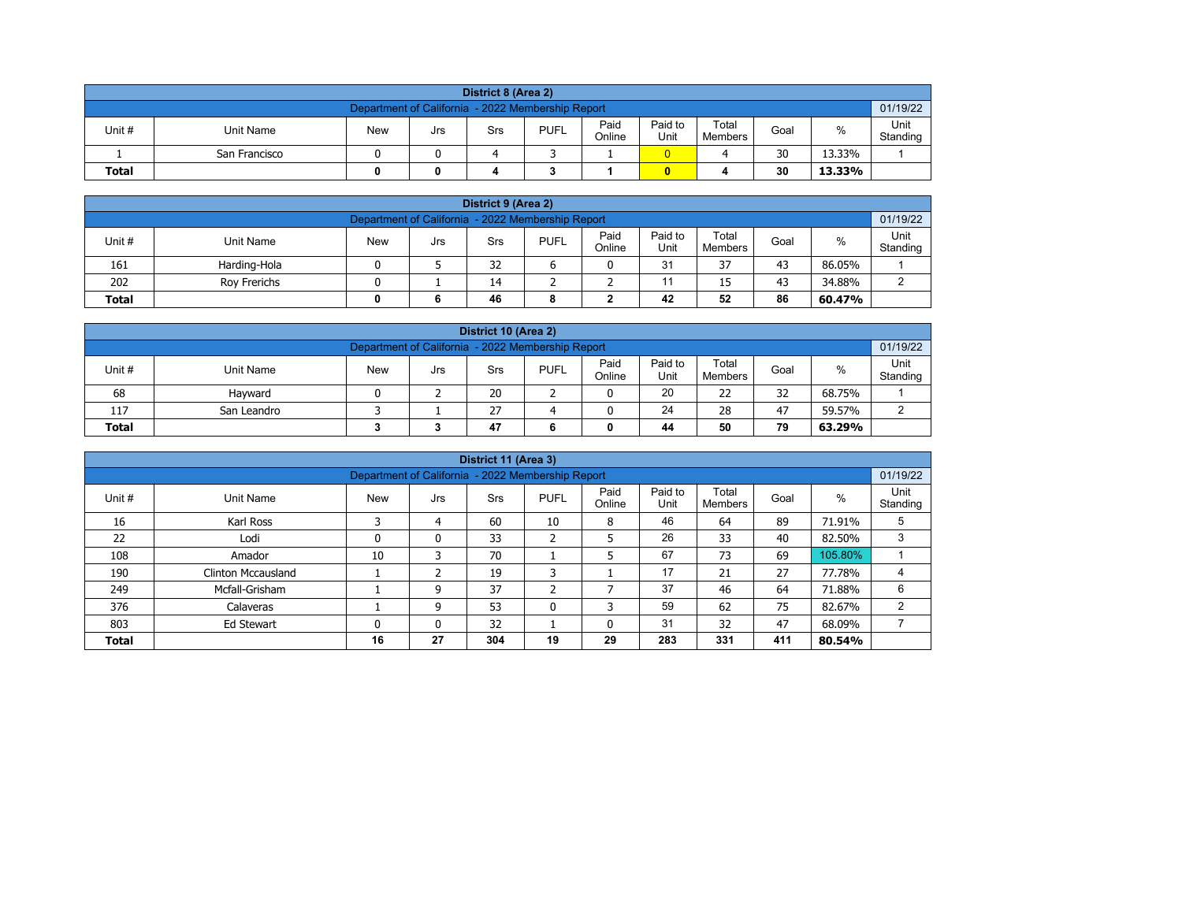| District 8 (Area 2)                                                                                                                                     |                                                               |  |  |  |  |  |  |  |  |  |  |  |  |  |  |
|---------------------------------------------------------------------------------------------------------------------------------------------------------|---------------------------------------------------------------|--|--|--|--|--|--|--|--|--|--|--|--|--|--|
|                                                                                                                                                         | 01/19/22<br>Department of California - 2022 Membership Report |  |  |  |  |  |  |  |  |  |  |  |  |  |  |
| Paid<br>Paid to<br>Total<br><b>PUFL</b><br>%<br>Unit #<br>Unit Name<br><b>New</b><br>Goal<br>Srs<br>Jrs<br>Unit<br>Online<br>Standing<br><b>Members</b> |                                                               |  |  |  |  |  |  |  |  |  |  |  |  |  |  |
|                                                                                                                                                         | 30<br>13.33%<br>San Francisco                                 |  |  |  |  |  |  |  |  |  |  |  |  |  |  |
| 30<br><b>Total</b><br>13.33%<br>0<br>0                                                                                                                  |                                                               |  |  |  |  |  |  |  |  |  |  |  |  |  |  |

| District 9 (Area 2)                                                                                                                             |                                               |  |  |    |  |  |    |    |    |        |  |  |  |
|-------------------------------------------------------------------------------------------------------------------------------------------------|-----------------------------------------------|--|--|----|--|--|----|----|----|--------|--|--|--|
| 01/19/22<br>Department of California - 2022 Membership Report                                                                                   |                                               |  |  |    |  |  |    |    |    |        |  |  |  |
| Paid<br>Paid to<br>Total<br>Unit#<br><b>PUFL</b><br>%<br><b>New</b><br>Unit Name<br>Goal<br>Srs<br>Jrs<br>Standing<br>Online<br>Unit<br>Members |                                               |  |  |    |  |  |    |    |    |        |  |  |  |
| 161                                                                                                                                             | Harding-Hola                                  |  |  | 32 |  |  | 31 | 37 | 43 | 86.05% |  |  |  |
| 202                                                                                                                                             | 43<br>34.88%<br>15<br>Rov Frerichs<br>14<br>ົ |  |  |    |  |  |    |    |    |        |  |  |  |
| 52<br>86<br>42<br>46<br>60.47%<br><b>Total</b><br>6<br>8<br>-                                                                                   |                                               |  |  |    |  |  |    |    |    |        |  |  |  |

| District 10 (Area 2)                                                                                                                                   |                                               |  |  |    |  |  |    |    |    |        |  |  |  |
|--------------------------------------------------------------------------------------------------------------------------------------------------------|-----------------------------------------------|--|--|----|--|--|----|----|----|--------|--|--|--|
| Department of California - 2022 Membership Report<br>01/19/22                                                                                          |                                               |  |  |    |  |  |    |    |    |        |  |  |  |
| Paid<br>Paid to<br>Total<br>Unit#<br>%<br><b>PUFL</b><br><b>New</b><br>Unit Name<br>Goal<br>Srs<br>Jrs<br>Online<br>Standing<br>Unit<br><b>Members</b> |                                               |  |  |    |  |  |    |    |    |        |  |  |  |
| 68                                                                                                                                                     | Havward                                       |  |  | 20 |  |  | 20 | 22 | 32 | 68.75% |  |  |  |
| 117                                                                                                                                                    | 24<br>27<br>28<br>47<br>59.57%<br>San Leandro |  |  |    |  |  |    |    |    |        |  |  |  |
| 79<br>47<br><b>Total</b><br>44<br>50<br>63.29%<br>0                                                                                                    |                                               |  |  |    |  |  |    |    |    |        |  |  |  |

|                                                               |                                                                                                                                                          |    |              | District 11 (Area 3) |    |    |     |     |     |         |   |  |  |  |  |
|---------------------------------------------------------------|----------------------------------------------------------------------------------------------------------------------------------------------------------|----|--------------|----------------------|----|----|-----|-----|-----|---------|---|--|--|--|--|
|                                                               | 01/19/22<br>Department of California - 2022 Membership Report                                                                                            |    |              |                      |    |    |     |     |     |         |   |  |  |  |  |
| Unit #                                                        | Paid<br>Unit<br>Paid to<br>Total<br>$\%$<br><b>PUFL</b><br>Goal<br>Unit Name<br><b>New</b><br><b>Srs</b><br>Jrs<br>Unit<br>Online<br>Standing<br>Members |    |              |                      |    |    |     |     |     |         |   |  |  |  |  |
| 16                                                            | Karl Ross                                                                                                                                                | 3  | 4            | 60                   | 10 | 8  | 46  | 64  | 89  | 71.91%  | 5 |  |  |  |  |
| 22                                                            | Lodi                                                                                                                                                     |    | $\mathbf{0}$ | 33                   | 2  | 5  | 26  | 33  | 40  | 82.50%  | 3 |  |  |  |  |
| 108                                                           | Amador                                                                                                                                                   | 10 | 3            | 70                   |    | 5  | 67  | 73  | 69  | 105.80% |   |  |  |  |  |
| 190                                                           | Clinton Mccausland                                                                                                                                       |    | 2            | 19                   | 3  |    | 17  | 21  | 27  | 77.78%  | 4 |  |  |  |  |
| 249                                                           | Mcfall-Grisham                                                                                                                                           |    | 9            | 37                   | C. |    | 37  | 46  | 64  | 71.88%  | 6 |  |  |  |  |
| 376                                                           | 59<br>75<br>53<br>62<br>$\overline{2}$<br>3<br>82.67%<br>9<br>0<br>Calaveras                                                                             |    |              |                      |    |    |     |     |     |         |   |  |  |  |  |
| 32<br>31<br>32<br>47<br>803<br>0<br>0<br>68.09%<br>Ed Stewart |                                                                                                                                                          |    |              |                      |    |    |     |     |     |         |   |  |  |  |  |
| <b>Total</b>                                                  |                                                                                                                                                          | 16 | 27           | 304                  | 19 | 29 | 283 | 331 | 411 | 80.54%  |   |  |  |  |  |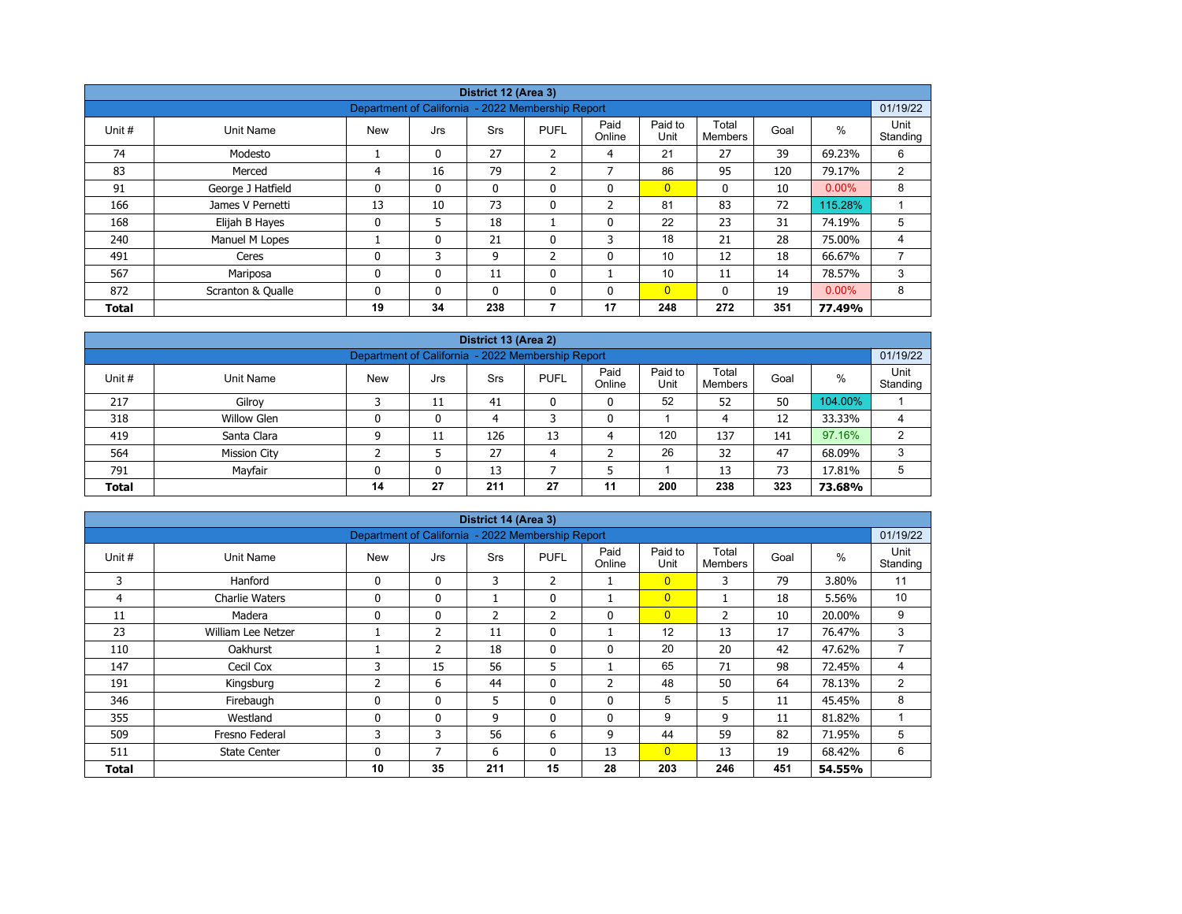| District 12 (Area 3) |                   |                                                   |              |              |                |                |                 |                         |      |          |                  |  |  |
|----------------------|-------------------|---------------------------------------------------|--------------|--------------|----------------|----------------|-----------------|-------------------------|------|----------|------------------|--|--|
|                      |                   | Department of California - 2022 Membership Report |              |              |                |                |                 |                         |      |          | 01/19/22         |  |  |
| Unit #               | Unit Name         | <b>New</b>                                        | Jrs          | <b>Srs</b>   | <b>PUFL</b>    | Paid<br>Online | Paid to<br>Unit | Total<br><b>Members</b> | Goal | %        | Unit<br>Standing |  |  |
| 74                   | Modesto           |                                                   | $\mathbf{0}$ | 27           | 2              | 4              | 21              | 27                      | 39   | 69.23%   | 6                |  |  |
| 83                   | Merced            | 4                                                 | 16           | 79           | 2              | $\overline{ }$ | 86              | 95                      | 120  | 79.17%   | 2                |  |  |
| 91                   | George J Hatfield | $\mathbf{0}$                                      | 0            | $\mathbf{0}$ | 0              | $\mathbf{0}$   | $\overline{0}$  | $\mathbf{0}$            | 10   | $0.00\%$ | 8                |  |  |
| 166                  | James V Pernetti  | 13                                                | 10           | 73           | 0              | $\overline{2}$ | 81              | 83                      | 72   | 115.28%  |                  |  |  |
| 168                  | Elijah B Hayes    | $\mathbf 0$                                       | 5            | 18           |                | $\Omega$       | 22              | 23                      | 31   | 74.19%   | 5                |  |  |
| 240                  | Manuel M Lopes    |                                                   | 0            | 21           | 0              | 3              | 18              | 21                      | 28   | 75.00%   | 4                |  |  |
| 491                  | Ceres             | $\mathbf{0}$                                      | 3            | 9            | $\overline{2}$ | $\mathbf{0}$   | 10              | 12                      | 18   | 66.67%   |                  |  |  |
| 567                  | Mariposa          | 0                                                 | 0            | 11           | 0              |                | 10              | 11                      | 14   | 78.57%   | 3                |  |  |
| 872                  | Scranton & Qualle | $\mathbf{0}$                                      | $\mathbf{0}$ | $\mathbf{0}$ | $\mathbf{0}$   | $\mathbf{0}$   | $\overline{0}$  | $\Omega$                | 19   | $0.00\%$ | 8                |  |  |
| <b>Total</b>         |                   | 19                                                | 34           | 238          | 7              | 17             | 248             | 272                     | 351  | 77.49%   |                  |  |  |

| District 13 (Area 2) |                                                                                                                                                          |    |    |     |    |    |     |     |     |         |   |  |  |  |  |
|----------------------|----------------------------------------------------------------------------------------------------------------------------------------------------------|----|----|-----|----|----|-----|-----|-----|---------|---|--|--|--|--|
|                      | 01/19/22<br>Department of California - 2022 Membership Report                                                                                            |    |    |     |    |    |     |     |     |         |   |  |  |  |  |
| Unit #               | Paid<br>Paid to<br>Unit<br>Total<br>$\%$<br><b>PUFL</b><br>Unit Name<br><b>New</b><br><b>Srs</b><br>Goal<br>Jrs<br>Unit<br>Online<br>Standing<br>Members |    |    |     |    |    |     |     |     |         |   |  |  |  |  |
| 217                  | Gilroy                                                                                                                                                   |    | 11 | 41  | 0  | 0  | 52  | 52  | 50  | 104.00% |   |  |  |  |  |
| 318                  | Willow Glen                                                                                                                                              | 0  | 0  | 4   |    | 0  |     | 4   | 12  | 33.33%  |   |  |  |  |  |
| 419                  | Santa Clara                                                                                                                                              | 9  | 11 | 126 | 13 | 4  | 120 | 137 | 141 | 97.16%  | ົ |  |  |  |  |
| 564                  | <b>Mission City</b>                                                                                                                                      |    |    | 27  | 4  |    | 26  | 32  | 47  | 68.09%  |   |  |  |  |  |
| 791                  | 73<br>5<br>Mayfair<br>13<br>13<br>0<br>17.81%<br>n                                                                                                       |    |    |     |    |    |     |     |     |         |   |  |  |  |  |
| <b>Total</b>         |                                                                                                                                                          | 14 | 27 | 211 | 27 | 11 | 200 | 238 | 323 | 73.68%  |   |  |  |  |  |

| District 14 (Area 3)<br>Department of California - 2022 Membership Report |                       |              |                |                |              |                |                 |                         |      |               |                  |  |  |  |
|---------------------------------------------------------------------------|-----------------------|--------------|----------------|----------------|--------------|----------------|-----------------|-------------------------|------|---------------|------------------|--|--|--|
|                                                                           |                       |              |                |                |              |                |                 |                         |      |               | 01/19/22         |  |  |  |
| Unit #                                                                    | Unit Name             | <b>New</b>   | Jrs            | Srs            | <b>PUFL</b>  | Paid<br>Online | Paid to<br>Unit | Total<br><b>Members</b> | Goal | $\frac{0}{0}$ | Unit<br>Standing |  |  |  |
| 3                                                                         | Hanford               | 0            | $\mathbf{0}$   | 3              | 2            | T              | $\overline{0}$  | 3                       | 79   | 3.80%         | 11               |  |  |  |
| 4                                                                         | <b>Charlie Waters</b> | 0            | $\mathbf{0}$   |                | $\mathbf{0}$ |                | $\overline{0}$  |                         | 18   | 5.56%         | 10               |  |  |  |
| 11                                                                        | Madera                | 0            | 0              | $\overline{2}$ | 2            | $\mathbf 0$    | $\overline{0}$  | 2                       | 10   | 20.00%        | 9                |  |  |  |
| 23                                                                        | William Lee Netzer    |              | $\overline{2}$ | 11             | $\mathbf{0}$ |                | 12              | 13                      | 17   | 76.47%        | 3                |  |  |  |
| 110                                                                       | Oakhurst              |              | $\overline{2}$ | 18             | $\mathbf{0}$ | $\mathbf{0}$   | 20              | 20                      | 42   | 47.62%        | $\overline{7}$   |  |  |  |
| 147                                                                       | Cecil Cox             | 3            | 15             | 56             | 5            |                | 65              | 71                      | 98   | 72.45%        | 4                |  |  |  |
| 191                                                                       | Kingsburg             | 2            | 6              | 44             | 0            | $\overline{2}$ | 48              | 50                      | 64   | 78.13%        | $\overline{2}$   |  |  |  |
| 346                                                                       | Firebaugh             | 0            | 0              | 5              | 0            | $\mathbf 0$    | 5               | 5                       | 11   | 45.45%        | 8                |  |  |  |
| 355                                                                       | Westland              | $\mathbf{0}$ | $\mathbf{0}$   | 9              | $\mathbf{0}$ | $\mathbf{0}$   | 9               | 9                       | 11   | 81.82%        |                  |  |  |  |
| 509                                                                       | Fresno Federal        | 3            | 3              | 56             | 6            | 9              | 44              | 59                      | 82   | 71.95%        | 5                |  |  |  |
| 511                                                                       | <b>State Center</b>   | 0            | 7              | 6              | 0            | 13             | $\overline{0}$  | 13                      | 19   | 68.42%        | 6                |  |  |  |
| <b>Total</b>                                                              |                       | 10           | 35             | 211            | 15           | 28             | 203             | 246                     | 451  | 54.55%        |                  |  |  |  |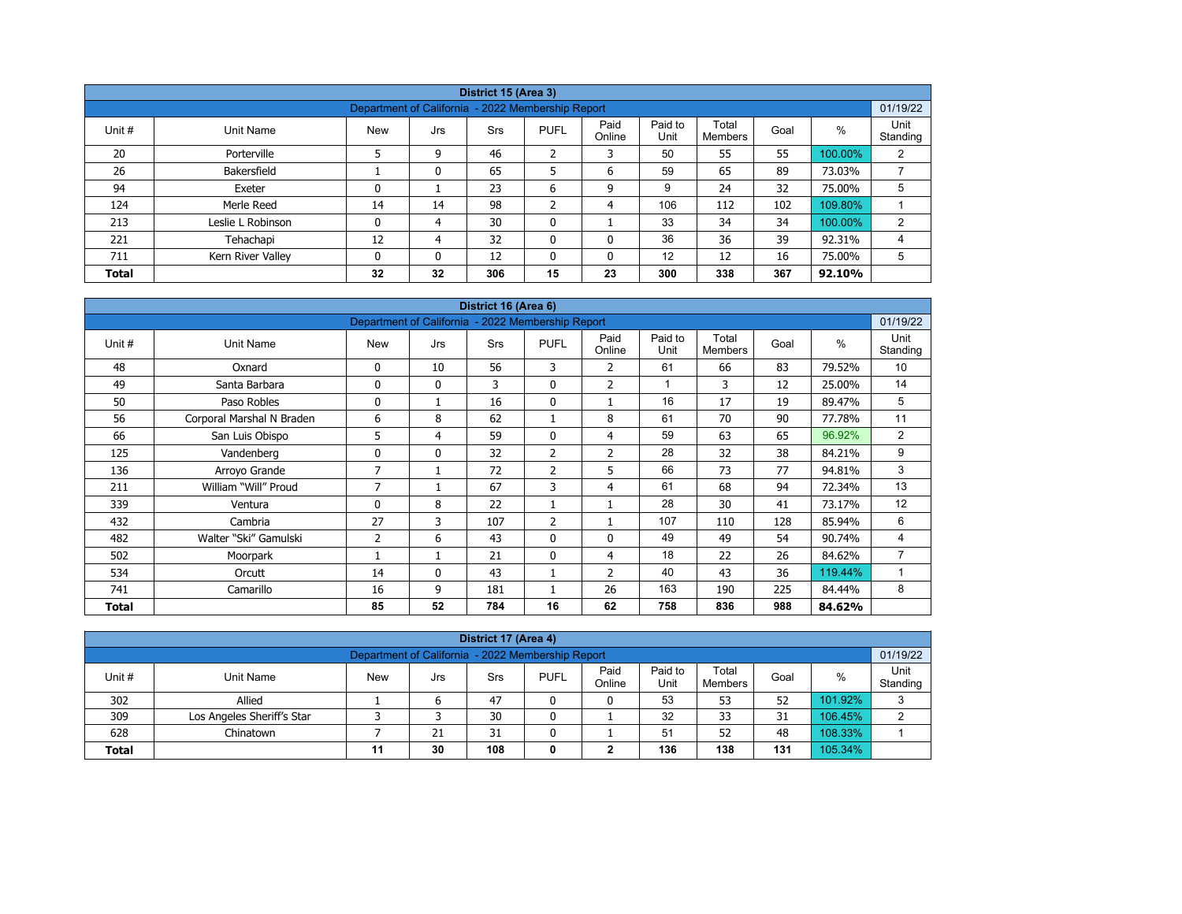|              |                                                                                                |                                                   |     | District 15 (Area 3) |                |                |                 |                  |      |         |                  |  |  |
|--------------|------------------------------------------------------------------------------------------------|---------------------------------------------------|-----|----------------------|----------------|----------------|-----------------|------------------|------|---------|------------------|--|--|
|              |                                                                                                | Department of California - 2022 Membership Report |     |                      |                |                |                 |                  |      |         | 01/19/22         |  |  |
| Unit #       | Unit Name                                                                                      | <b>New</b>                                        | Jrs | Srs                  | <b>PUFL</b>    | Paid<br>Online | Paid to<br>Unit | Total<br>Members | Goal | %       | Unit<br>Standing |  |  |
| 20           | Porterville                                                                                    |                                                   | 9   | 46                   | $\overline{2}$ | 3              | 50              | 55               | 55   | 100.00% | 2                |  |  |
| 26           | Bakersfield                                                                                    |                                                   | 0   | 65                   | 5              | 6              | 59              | 65               | 89   | 73.03%  | $\overline{ }$   |  |  |
| 94           | Exeter                                                                                         | 0                                                 |     | 23                   | 6              | 9              | 9               | 24               | 32   | 75.00%  | 5                |  |  |
| 124          | Merle Reed                                                                                     | 14                                                | 14  | 98                   | h<br>{         | 4              | 106             | 112              | 102  | 109.80% |                  |  |  |
| 213          | Leslie L Robinson                                                                              | 0                                                 | 4   | 30                   | 0              |                | 33              | 34               | 34   | 100.00% | 2                |  |  |
| 221          | Tehachapi                                                                                      | 12                                                | 4   | 32                   | 0              | 0              | 36              | 36               | 39   | 92.31%  | 4                |  |  |
| 711          | 5<br>12<br>12<br>12<br>16<br>75.00%<br>Kern River Valley<br>$\mathbf{0}$<br>0<br>$\Omega$<br>0 |                                                   |     |                      |                |                |                 |                  |      |         |                  |  |  |
| <b>Total</b> |                                                                                                | 32                                                | 32  | 306                  | 15             | 23             | 300             | 338              | 367  | 92.10%  |                  |  |  |

| District 16 (Area 6) |                           |                                                   |              |     |                |                |                 |                         |      |         |                  |  |  |
|----------------------|---------------------------|---------------------------------------------------|--------------|-----|----------------|----------------|-----------------|-------------------------|------|---------|------------------|--|--|
|                      |                           | Department of California - 2022 Membership Report |              |     |                |                |                 |                         |      |         | 01/19/22         |  |  |
| Unit #               | Unit Name                 | <b>New</b>                                        | Jrs          | Srs | <b>PUFL</b>    | Paid<br>Online | Paid to<br>Unit | Total<br><b>Members</b> | Goal | $\%$    | Unit<br>Standing |  |  |
| 48                   | Oxnard                    | 0                                                 | 10           | 56  | 3              | 2              | 61              | 66                      | 83   | 79.52%  | 10               |  |  |
| 49                   | Santa Barbara             | 0                                                 | $\mathbf{0}$ | 3   | $\mathbf 0$    | $\overline{2}$ | 1               | 3                       | 12   | 25.00%  | 14               |  |  |
| 50                   | Paso Robles               | 0                                                 | 1            | 16  | $\mathbf 0$    |                | 16              | 17                      | 19   | 89.47%  | 5                |  |  |
| 56                   | Corporal Marshal N Braden | 6                                                 | 8            | 62  |                | 8              | 61              | 70                      | 90   | 77.78%  | 11               |  |  |
| 66                   | San Luis Obispo           | 5                                                 | 4            | 59  | $\mathbf{0}$   | 4              | 59              | 63                      | 65   | 96.92%  | 2                |  |  |
| 125                  | Vandenberg                | 0                                                 | $\mathbf{0}$ | 32  | $\overline{2}$ | 2              | 28              | 32                      | 38   | 84.21%  | 9                |  |  |
| 136                  | Arroyo Grande             | 7                                                 | 1            | 72  | $\overline{2}$ | 5              | 66              | 73                      | 77   | 94.81%  | 3                |  |  |
| 211                  | William "Will" Proud      | 7                                                 | 1            | 67  | 3              | $\overline{4}$ | 61              | 68                      | 94   | 72.34%  | 13               |  |  |
| 339                  | Ventura                   | 0                                                 | 8            | 22  |                |                | 28              | 30                      | 41   | 73.17%  | 12               |  |  |
| 432                  | Cambria                   | 27                                                | 3            | 107 | 2              |                | 107             | 110                     | 128  | 85.94%  | 6                |  |  |
| 482                  | Walter "Ski" Gamulski     | $\overline{2}$                                    | 6            | 43  | $\mathbf{0}$   | $\mathbf{0}$   | 49              | 49                      | 54   | 90.74%  | 4                |  |  |
| 502                  | Moorpark                  |                                                   | 1            | 21  | $\mathbf 0$    | 4              | 18              | 22                      | 26   | 84.62%  | $\overline{7}$   |  |  |
| 534                  | Orcutt                    | 14                                                | $\mathbf{0}$ | 43  |                | $\overline{2}$ | 40              | 43                      | 36   | 119.44% | 1                |  |  |
| 741                  | Camarillo                 | 16                                                | 9            | 181 |                | 26             | 163             | 190                     | 225  | 84.44%  | 8                |  |  |
| Total                |                           | 85                                                | 52           | 784 | 16             | 62             | 758             | 836                     | 988  | 84.62%  |                  |  |  |

| District 17 (Area 4)                                                                                                                                     |                            |  |    |    |  |   |    |    |    |         |   |  |  |  |
|----------------------------------------------------------------------------------------------------------------------------------------------------------|----------------------------|--|----|----|--|---|----|----|----|---------|---|--|--|--|
| 01/19/22<br>Department of California - 2022 Membership Report                                                                                            |                            |  |    |    |  |   |    |    |    |         |   |  |  |  |
| Paid to<br>Unit<br>Paid<br>Total<br><b>PUFL</b><br>Unit #<br><b>New</b><br>%<br>Goal<br>Unit Name<br>Srs<br>Jrs<br>Unit<br>Standing<br>Online<br>Members |                            |  |    |    |  |   |    |    |    |         |   |  |  |  |
| 302                                                                                                                                                      | Allied                     |  | 6  | 47 |  | 0 | 53 | 53 | 52 | 101.92% | 3 |  |  |  |
| 309                                                                                                                                                      | Los Angeles Sheriff's Star |  |    | 30 |  |   | 32 | 33 | 31 | 106.45% | ົ |  |  |  |
| 628                                                                                                                                                      | Chinatown                  |  | 21 | 31 |  |   | 51 | 52 | 48 | 108.33% |   |  |  |  |
| 136<br>105.34%<br>108<br>138<br>131<br>30<br><b>Total</b><br>11<br>0<br>◠<br>∠                                                                           |                            |  |    |    |  |   |    |    |    |         |   |  |  |  |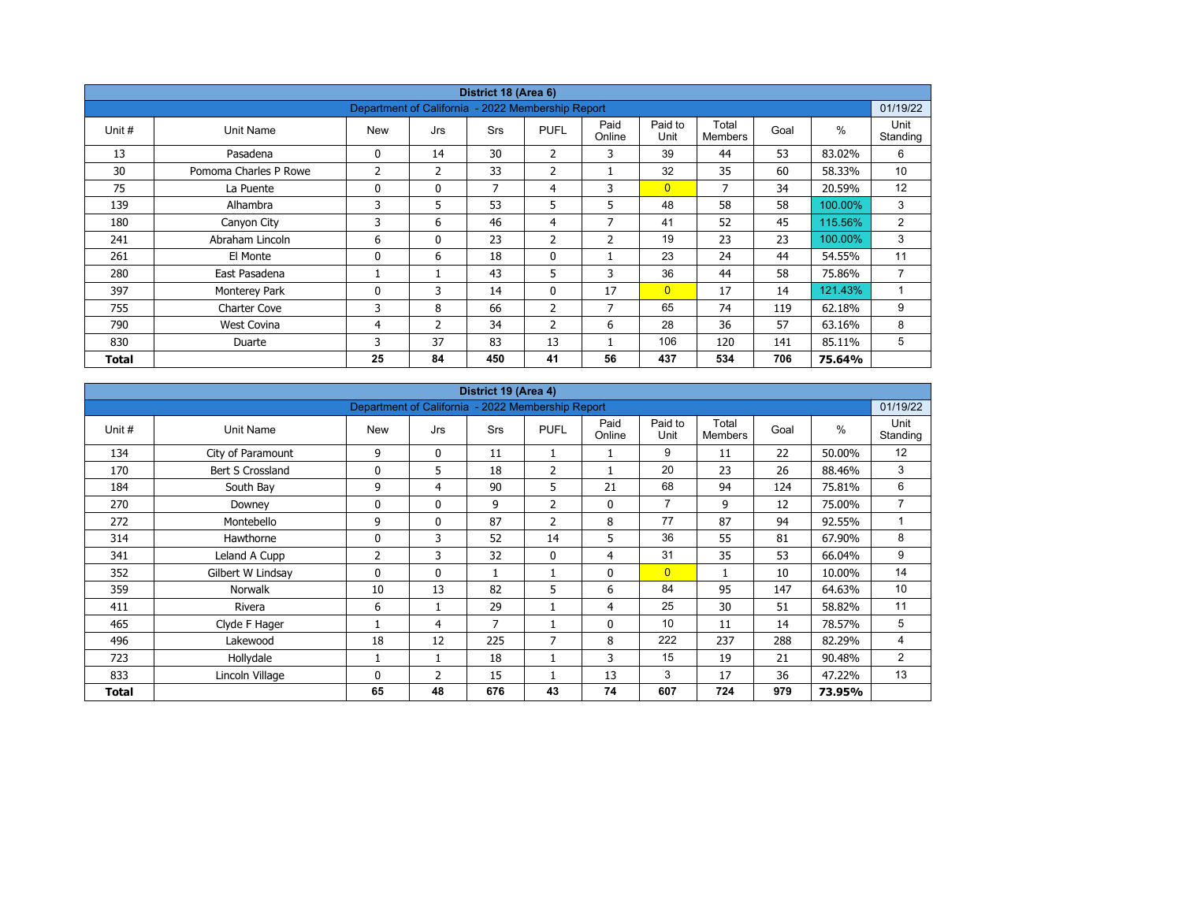| District 18 (Area 6) |                       |                                                   |                |            |                |                |                 |                         |      |         |                  |  |  |
|----------------------|-----------------------|---------------------------------------------------|----------------|------------|----------------|----------------|-----------------|-------------------------|------|---------|------------------|--|--|
|                      |                       | Department of California - 2022 Membership Report |                |            |                |                |                 |                         |      |         | 01/19/22         |  |  |
| Unit #               | Unit Name             | <b>New</b>                                        | Jrs            | <b>Srs</b> | <b>PUFL</b>    | Paid<br>Online | Paid to<br>Unit | Total<br><b>Members</b> | Goal | $\%$    | Unit<br>Standing |  |  |
| 13                   | Pasadena              | 0                                                 | 14             | 30         | $\overline{2}$ | 3              | 39              | 44                      | 53   | 83.02%  | 6                |  |  |
| 30                   | Pomoma Charles P Rowe | 2                                                 | 2              | 33         | $\overline{2}$ |                | 32              | 35                      | 60   | 58.33%  | 10               |  |  |
| 75                   | La Puente             | 0                                                 | $\mathbf{0}$   | 7          | 4              | 3              | $\overline{0}$  | 7                       | 34   | 20.59%  | 12               |  |  |
| 139                  | Alhambra              | 3                                                 | 5              | 53         | 5              | 5              | 48              | 58                      | 58   | 100.00% | 3                |  |  |
| 180                  | Canyon City           | 3                                                 | 6              | 46         | $\overline{4}$ | 7              | 41              | 52                      | 45   | 115.56% | 2                |  |  |
| 241                  | Abraham Lincoln       | 6                                                 | $\mathbf{0}$   | 23         | 2              | $\overline{2}$ | 19              | 23                      | 23   | 100.00% | 3                |  |  |
| 261                  | El Monte              | 0                                                 | 6              | 18         | $\mathbf 0$    |                | 23              | 24                      | 44   | 54.55%  | 11               |  |  |
| 280                  | East Pasadena         |                                                   |                | 43         | 5              | 3              | 36              | 44                      | 58   | 75.86%  | $\overline{7}$   |  |  |
| 397                  | Monterey Park         | 0                                                 | 3              | 14         | $\mathbf{0}$   | 17             | $\overline{0}$  | 17                      | 14   | 121.43% |                  |  |  |
| 755                  | <b>Charter Cove</b>   | 3                                                 | 8              | 66         | $\overline{2}$ | $\overline{7}$ | 65              | 74                      | 119  | 62.18%  | 9                |  |  |
| 790                  | West Covina           | 4                                                 | $\overline{2}$ | 34         | $\overline{2}$ | 6              | 28              | 36                      | 57   | 63.16%  | 8                |  |  |
| 830                  | Duarte                | 3                                                 | 37             | 83         | 13             |                | 106             | 120                     | 141  | 85.11%  | 5                |  |  |
| Total                |                       | 25                                                | 84             | 450        | 41             | 56             | 437             | 534                     | 706  | 75.64%  |                  |  |  |

| District 19 (Area 4)<br>Department of California - 2022 Membership Report |                   |            |                |     |                |                |                 |                         |      |               |                  |  |  |
|---------------------------------------------------------------------------|-------------------|------------|----------------|-----|----------------|----------------|-----------------|-------------------------|------|---------------|------------------|--|--|
|                                                                           |                   |            |                |     |                |                |                 |                         |      |               | 01/19/22         |  |  |
| Unit #                                                                    | Unit Name         | <b>New</b> | Jrs            | Srs | <b>PUFL</b>    | Paid<br>Online | Paid to<br>Unit | Total<br><b>Members</b> | Goal | $\frac{0}{0}$ | Unit<br>Standing |  |  |
| 134                                                                       | City of Paramount | 9          | $\mathbf 0$    | 11  |                |                | 9               | 11                      | 22   | 50.00%        | 12               |  |  |
| 170                                                                       | Bert S Crossland  | 0          | 5              | 18  | $\overline{2}$ |                | 20              | 23                      | 26   | 88.46%        | 3                |  |  |
| 184                                                                       | South Bay         | 9          | $\overline{4}$ | 90  | 5              | 21             | 68              | 94                      | 124  | 75.81%        | 6                |  |  |
| 270                                                                       | Downey            | 0          | $\mathbf{0}$   | 9   | $\overline{2}$ | 0              | $\overline{7}$  | 9                       | 12   | 75.00%        | $\overline{7}$   |  |  |
| 272                                                                       | Montebello        | 9          | $\mathbf{0}$   | 87  | $\overline{2}$ | 8              | 77              | 87                      | 94   | 92.55%        | $\mathbf{1}$     |  |  |
| 314                                                                       | Hawthorne         | 0          | 3              | 52  | 14             | 5              | 36              | 55                      | 81   | 67.90%        | 8                |  |  |
| 341                                                                       | Leland A Cupp     | 2          | 3              | 32  | $\mathbf{0}$   | 4              | 31              | 35                      | 53   | 66.04%        | 9                |  |  |
| 352                                                                       | Gilbert W Lindsay | 0          | $\mathbf{0}$   | 1   |                | 0              | $\overline{0}$  | $\mathbf{1}$            | 10   | 10.00%        | 14               |  |  |
| 359                                                                       | <b>Norwalk</b>    | 10         | 13             | 82  | 5              | 6              | 84              | 95                      | 147  | 64.63%        | 10               |  |  |
| 411                                                                       | Rivera            | 6          | 1              | 29  |                | 4              | 25              | 30                      | 51   | 58.82%        | 11               |  |  |
| 465                                                                       | Clyde F Hager     |            | 4              | 7   |                | 0              | 10              | 11                      | 14   | 78.57%        | 5                |  |  |
| 496                                                                       | Lakewood          | 18         | 12             | 225 | $\overline{7}$ | 8              | 222             | 237                     | 288  | 82.29%        | 4                |  |  |
| 723                                                                       | Hollydale         |            | $\mathbf{1}$   | 18  |                | 3              | 15              | 19                      | 21   | 90.48%        | 2                |  |  |
| 833                                                                       | Lincoln Village   | 0          | $\overline{2}$ | 15  |                | 13             | 3               | 17                      | 36   | 47.22%        | 13               |  |  |
| Total                                                                     |                   | 65         | 48             | 676 | 43             | 74             | 607             | 724                     | 979  | 73.95%        |                  |  |  |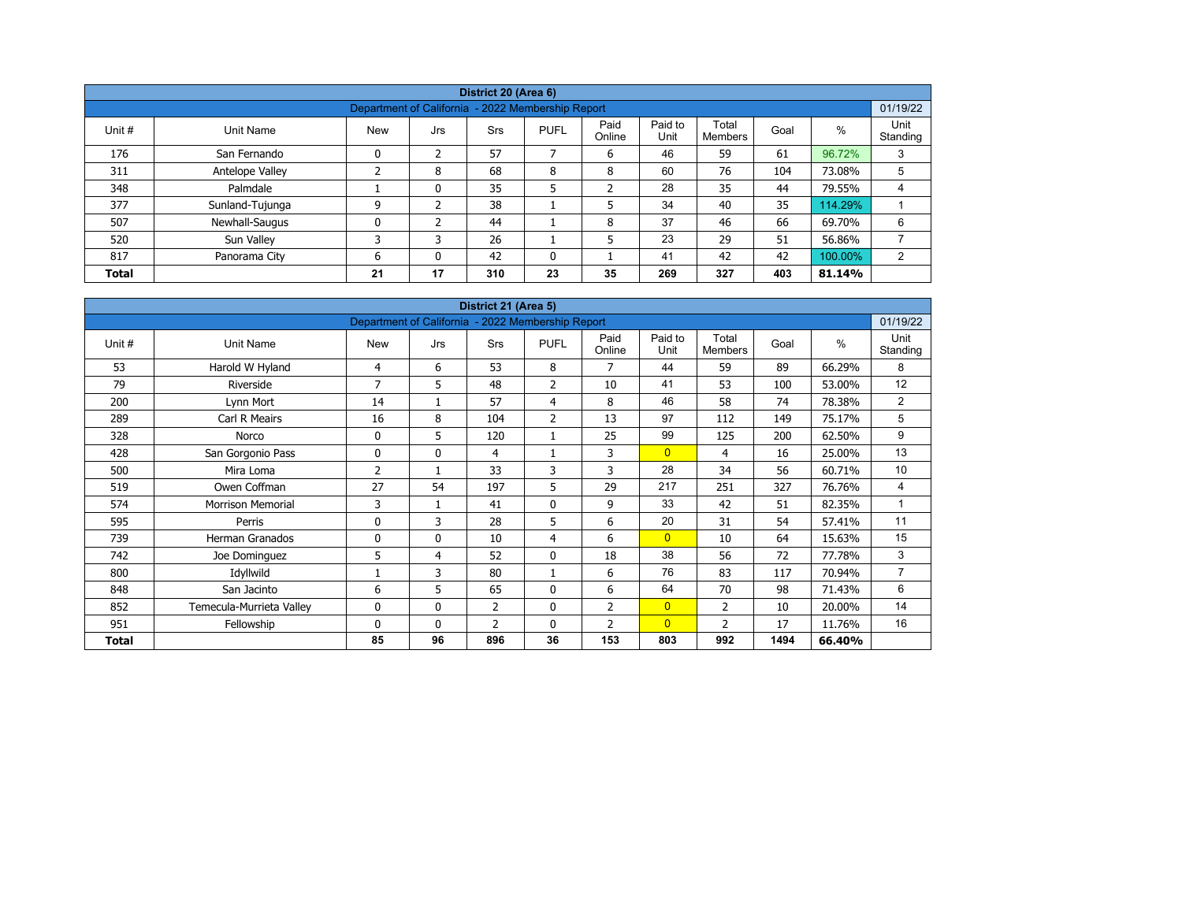| District 20 (Area 6)                                                       |                                                               |            |          |     |             |                |                 |                  |      |         |                  |  |  |  |  |
|----------------------------------------------------------------------------|---------------------------------------------------------------|------------|----------|-----|-------------|----------------|-----------------|------------------|------|---------|------------------|--|--|--|--|
|                                                                            | 01/19/22<br>Department of California - 2022 Membership Report |            |          |     |             |                |                 |                  |      |         |                  |  |  |  |  |
| Unit #                                                                     | Unit Name                                                     | <b>New</b> | Jrs      | Srs | <b>PUFL</b> | Paid<br>Online | Paid to<br>Unit | Total<br>Members | Goal | $\%$    | Unit<br>Standing |  |  |  |  |
| 176                                                                        | San Fernando                                                  | 0          | 2        | 57  |             | 6              | 46              | 59               | 61   | 96.72%  | 3                |  |  |  |  |
| 311                                                                        | Antelope Valley                                               |            | 8        | 68  | 8           | 8              | 60              | 76               | 104  | 73.08%  | 5                |  |  |  |  |
| 348                                                                        | Palmdale                                                      |            | 0        | 35  | 5           | ำ<br>∠         | 28              | 35               | 44   | 79.55%  | 4                |  |  |  |  |
| 377                                                                        | Sunland-Tujunga                                               | 9          | h        | 38  |             | 5              | 34              | 40               | 35   | 114.29% |                  |  |  |  |  |
| 507                                                                        | Newhall-Saugus                                                | 0          |          | 44  |             | 8              | 37              | 46               | 66   | 69.70%  | 6                |  |  |  |  |
| 520                                                                        | Sun Valley                                                    | 3          | 3        | 26  |             | 5              | 23              | 29               | 51   | 56.86%  |                  |  |  |  |  |
| 817                                                                        | Panorama City                                                 | 6          | $\Omega$ | 42  | 0           |                | 41              | 42               | 42   | 100.00% | 2                |  |  |  |  |
| 17<br>23<br>269<br>327<br>310<br>35<br>403<br>21<br><b>Total</b><br>81.14% |                                                               |            |          |     |             |                |                 |                  |      |         |                  |  |  |  |  |

| District 21 (Area 5) |                          |                                                   |              |                |                |                |                 |                         |      |               |                  |  |  |
|----------------------|--------------------------|---------------------------------------------------|--------------|----------------|----------------|----------------|-----------------|-------------------------|------|---------------|------------------|--|--|
|                      |                          | Department of California - 2022 Membership Report |              |                |                |                |                 |                         |      |               | 01/19/22         |  |  |
| Unit #               | Unit Name                | <b>New</b>                                        | Jrs          | Srs            | <b>PUFL</b>    | Paid<br>Online | Paid to<br>Unit | Total<br><b>Members</b> | Goal | $\frac{0}{0}$ | Unit<br>Standing |  |  |
| 53                   | Harold W Hyland          | 4                                                 | 6            | 53             | 8              | $\overline{7}$ | 44              | 59                      | 89   | 66.29%        | 8                |  |  |
| 79                   | Riverside                | 7                                                 | 5            | 48             | 2              | 10             | 41              | 53                      | 100  | 53.00%        | 12               |  |  |
| 200                  | Lynn Mort                | 14                                                | 1            | 57             | 4              | 8              | 46              | 58                      | 74   | 78.38%        | $\overline{2}$   |  |  |
| 289                  | Carl R Meairs            | 16                                                | 8            | 104            | $\overline{2}$ | 13             | 97              | 112                     | 149  | 75.17%        | 5                |  |  |
| 328                  | Norco                    | 0                                                 | 5            | 120            | $\mathbf{1}$   | 25             | 99              | 125                     | 200  | 62.50%        | 9                |  |  |
| 428                  | San Gorgonio Pass        | $\mathbf{0}$                                      | $\mathbf{0}$ | 4              | 1              | 3              | $\overline{0}$  | 4                       | 16   | 25.00%        | 13               |  |  |
| 500                  | Mira Loma                | 2                                                 | 1            | 33             | 3              | 3              | 28              | 34                      | 56   | 60.71%        | 10               |  |  |
| 519                  | Owen Coffman             | 27                                                | 54           | 197            | 5              | 29             | 217             | 251                     | 327  | 76.76%        | 4                |  |  |
| 574                  | <b>Morrison Memorial</b> | 3                                                 | 1            | 41             | $\mathbf 0$    | 9              | 33              | 42                      | 51   | 82.35%        | $\mathbf{1}$     |  |  |
| 595                  | Perris                   | 0                                                 | 3            | 28             | 5              | 6              | 20              | 31                      | 54   | 57.41%        | 11               |  |  |
| 739                  | Herman Granados          | 0                                                 | $\mathbf{0}$ | 10             | $\overline{4}$ | 6              | $\overline{0}$  | 10                      | 64   | 15.63%        | 15               |  |  |
| 742                  | Joe Dominguez            | 5                                                 | 4            | 52             | $\mathbf 0$    | 18             | 38              | 56                      | 72   | 77.78%        | 3                |  |  |
| 800                  | Idyllwild                |                                                   | 3            | 80             | 1              | 6              | 76              | 83                      | 117  | 70.94%        | $\overline{7}$   |  |  |
| 848                  | San Jacinto              | 6                                                 | 5            | 65             | $\mathbf 0$    | 6              | 64              | 70                      | 98   | 71.43%        | 6                |  |  |
| 852                  | Temecula-Murrieta Valley | 0                                                 | $\mathbf{0}$ | $\overline{2}$ | $\mathbf 0$    | $\overline{2}$ | $\overline{0}$  | $\overline{2}$          | 10   | 20.00%        | 14               |  |  |
| 951                  | Fellowship               | $\mathbf{0}$                                      | $\mathbf{0}$ | $\overline{2}$ | $\mathbf 0$    | 2              | $\overline{0}$  | $\overline{2}$          | 17   | 11.76%        | 16               |  |  |
| Total                |                          | 85                                                | 96           | 896            | 36             | 153            | 803             | 992                     | 1494 | 66.40%        |                  |  |  |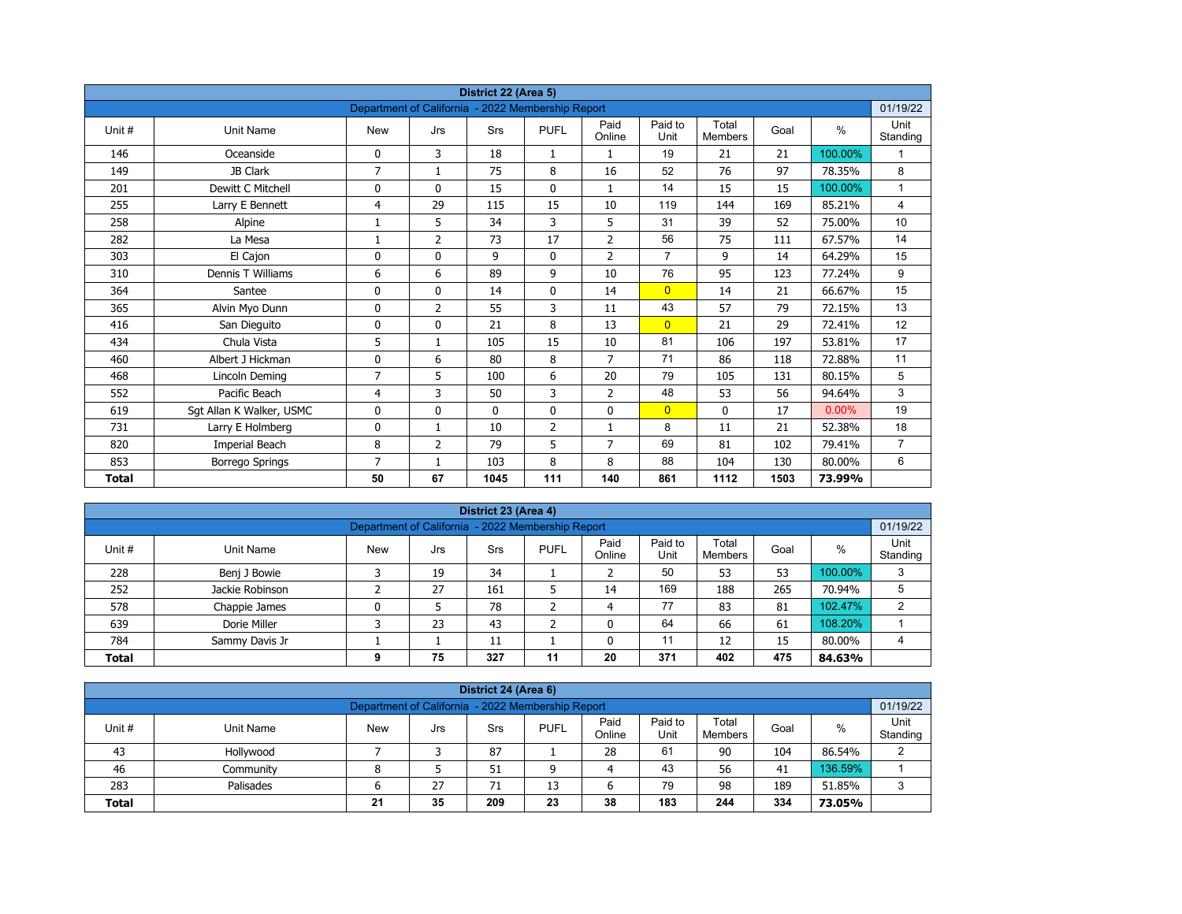| District 22 (Area 5) |                          |                                                   |                |             |                |                |                 |                         |      |          |                  |  |  |
|----------------------|--------------------------|---------------------------------------------------|----------------|-------------|----------------|----------------|-----------------|-------------------------|------|----------|------------------|--|--|
|                      |                          | Department of California - 2022 Membership Report |                |             |                |                |                 |                         |      |          | 01/19/22         |  |  |
| Unit#                | <b>Unit Name</b>         | <b>New</b>                                        | Jrs            | Srs         | <b>PUFL</b>    | Paid<br>Online | Paid to<br>Unit | Total<br><b>Members</b> | Goal | $\%$     | Unit<br>Standing |  |  |
| 146                  | Oceanside                | 0                                                 | 3              | 18          | $\mathbf{1}$   | 1              | 19              | 21                      | 21   | 100.00%  |                  |  |  |
| 149                  | JB Clark                 | $\overline{7}$                                    | $\mathbf{1}$   | 75          | 8              | 16             | 52              | 76                      | 97   | 78.35%   | 8                |  |  |
| 201                  | Dewitt C Mitchell        | 0                                                 | $\mathbf{0}$   | 15          | $\mathbf{0}$   | $\mathbf{1}$   | 14              | 15                      | 15   | 100.00%  | $\mathbf{1}$     |  |  |
| 255                  | Larry E Bennett          | 4                                                 | 29             | 115         | 15             | 10             | 119             | 144                     | 169  | 85.21%   | 4                |  |  |
| 258                  | Alpine                   | 1                                                 | 5              | 34          | 3              | 5              | 31              | 39                      | 52   | 75.00%   | 10               |  |  |
| 282                  | La Mesa                  | 1                                                 | $\overline{2}$ | 73          | 17             | $\overline{2}$ | 56              | 75                      | 111  | 67.57%   | 14               |  |  |
| 303                  | El Cajon                 | 0                                                 | 0              | 9           | $\mathbf 0$    | $\overline{2}$ | $\overline{7}$  | 9                       | 14   | 64.29%   | 15               |  |  |
| 310                  | Dennis T Williams        | 6                                                 | 6              | 89          | 9              | 10             | 76              | 95                      | 123  | 77.24%   | 9                |  |  |
| 364                  | Santee                   | 0                                                 | 0              | 14          | 0              | 14             | $\overline{0}$  | 14                      | 21   | 66.67%   | 15               |  |  |
| 365                  | Alvin Myo Dunn           | 0                                                 | $\overline{2}$ | 55          | 3              | 11             | 43              | 57                      | 79   | 72.15%   | 13               |  |  |
| 416                  | San Dieguito             | 0                                                 | $\Omega$       | 21          | 8              | 13             | $\overline{0}$  | 21                      | 29   | 72.41%   | 12               |  |  |
| 434                  | Chula Vista              | 5                                                 | $\mathbf{1}$   | 105         | 15             | 10             | 81              | 106                     | 197  | 53.81%   | 17               |  |  |
| 460                  | Albert J Hickman         | 0                                                 | 6              | 80          | 8              | $\overline{7}$ | 71              | 86                      | 118  | 72.88%   | 11               |  |  |
| 468                  | Lincoln Deming           | $\overline{7}$                                    | 5              | 100         | 6              | 20             | 79              | 105                     | 131  | 80.15%   | 5                |  |  |
| 552                  | Pacific Beach            | 4                                                 | 3              | 50          | 3              | $\overline{2}$ | 48              | 53                      | 56   | 94.64%   | 3                |  |  |
| 619                  | Sgt Allan K Walker, USMC | 0                                                 | 0              | $\mathbf 0$ | $\mathbf 0$    | 0              | $\overline{0}$  | 0                       | 17   | $0.00\%$ | 19               |  |  |
| 731                  | Larry E Holmberg         | 0                                                 | $\mathbf{1}$   | 10          | $\overline{2}$ | $\mathbf{1}$   | 8               | 11                      | 21   | 52.38%   | 18               |  |  |
| 820                  | Imperial Beach           | 8                                                 | $\overline{2}$ | 79          | 5              | 7              | 69              | 81                      | 102  | 79.41%   | $\overline{7}$   |  |  |
| 853                  | <b>Borrego Springs</b>   | 7                                                 | 1              | 103         | 8              | 8              | 88              | 104                     | 130  | 80.00%   | 6                |  |  |
| <b>Total</b>         |                          | 50                                                | 67             | 1045        | 111            | 140            | 861             | 1112                    | 1503 | 73.99%   |                  |  |  |

| District 23 (Area 4)<br>01/19/22 |                                                   |            |     |     |             |                |                 |                  |      |         |                  |  |  |  |  |
|----------------------------------|---------------------------------------------------|------------|-----|-----|-------------|----------------|-----------------|------------------|------|---------|------------------|--|--|--|--|
|                                  | Department of California - 2022 Membership Report |            |     |     |             |                |                 |                  |      |         |                  |  |  |  |  |
| Unit #                           | Unit Name                                         | <b>New</b> | Jrs | Srs | <b>PUFL</b> | Paid<br>Online | Paid to<br>Unit | Total<br>Members | Goal | %       | Unit<br>Standing |  |  |  |  |
| 228                              | Benj J Bowie                                      |            | 19  | 34  |             |                | 50              | 53               | 53   | 100.00% | 3                |  |  |  |  |
| 252                              | Jackie Robinson                                   |            | 27  | 161 |             | 14             | 169             | 188              | 265  | 70.94%  | 5                |  |  |  |  |
| 578                              | Chappie James                                     | 0          |     | 78  |             | 4              | 77              | 83               | 81   | 102.47% | っ                |  |  |  |  |
| 639                              | Dorie Miller                                      |            | 23  | 43  | ╮           |                | 64              | 66               | 61   | 108.20% |                  |  |  |  |  |
| 784                              | Sammy Davis Jr                                    |            |     | 11  |             |                | 11              | 12               | 15   | 80.00%  | 4                |  |  |  |  |
| <b>Total</b>                     |                                                   | 9          | 75  | 327 | 11          | 20             | 371             | 402              | 475  | 84.63%  |                  |  |  |  |  |

| District 24 (Area 6)                                                                                                                             |           |   |  |    |   |    |    |    |     |         |        |  |  |  |
|--------------------------------------------------------------------------------------------------------------------------------------------------|-----------|---|--|----|---|----|----|----|-----|---------|--------|--|--|--|
| Department of California - 2022 Membership Report<br>01/19/22                                                                                    |           |   |  |    |   |    |    |    |     |         |        |  |  |  |
| Paid<br>Paid to<br>Total<br>Unit #<br><b>PUFL</b><br>%<br>Goal<br>Unit Name<br><b>New</b><br>Srs<br>Jrs<br>Standing<br>Online<br>Unit<br>Members |           |   |  |    |   |    |    |    |     |         |        |  |  |  |
| 43                                                                                                                                               | Hollywood |   |  | 87 |   | 28 | 61 | 90 | 104 | 86.54%  | າ<br>∼ |  |  |  |
| 46                                                                                                                                               | Community | 8 |  | 51 | a | 4  | 43 | 56 | 41  | 136.59% |        |  |  |  |
| 79<br>283<br>27<br>98<br>189<br>51.85%<br>13<br>Palisades<br>71<br>ь<br>ס                                                                        |           |   |  |    |   |    |    |    |     |         |        |  |  |  |
| 183<br>209<br>35<br>23<br>38<br>334<br>244<br>21<br>73.05%<br><b>Total</b>                                                                       |           |   |  |    |   |    |    |    |     |         |        |  |  |  |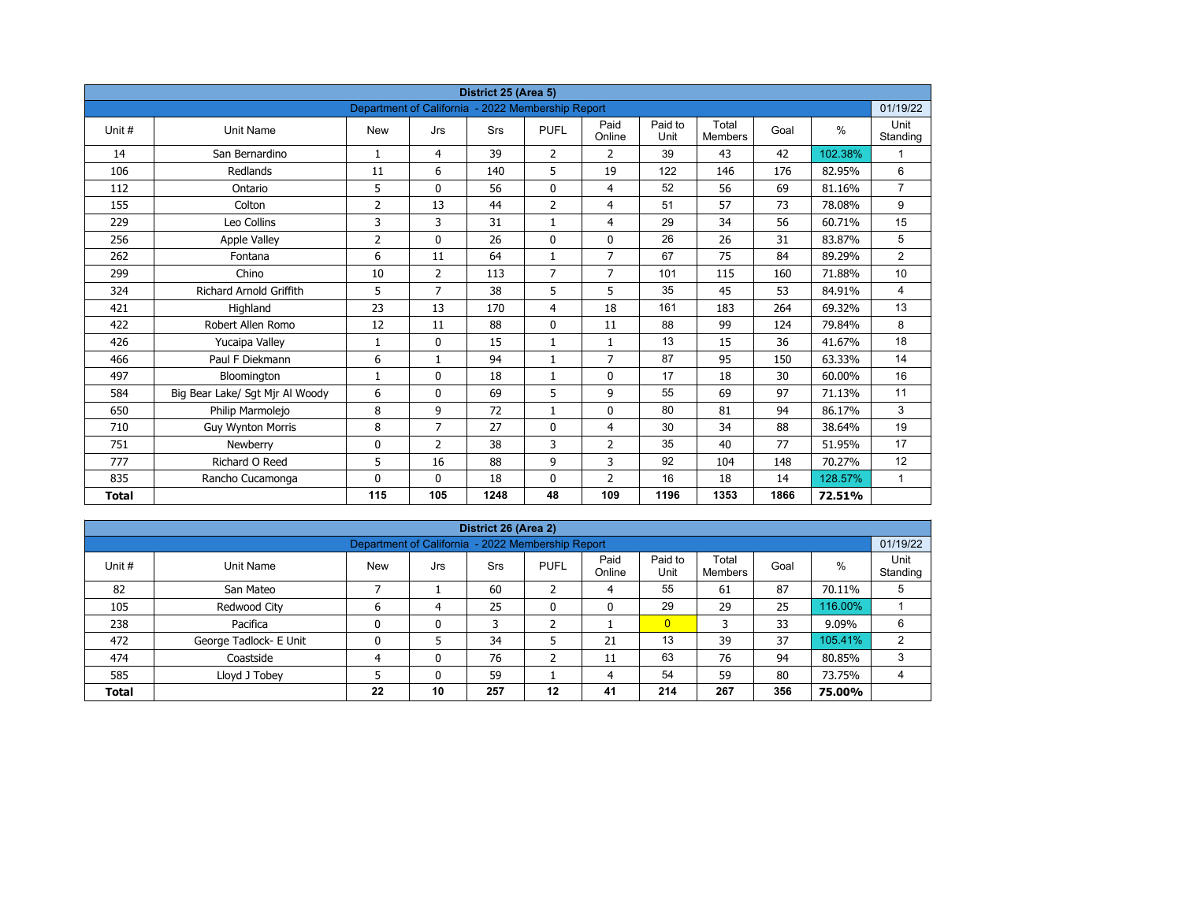| District 25 (Area 5)<br>Department of California - 2022 Membership Report |                                 |                |                |            |                |                |                 |                         |      |         |                  |  |  |
|---------------------------------------------------------------------------|---------------------------------|----------------|----------------|------------|----------------|----------------|-----------------|-------------------------|------|---------|------------------|--|--|
|                                                                           |                                 |                |                |            |                |                |                 |                         |      |         | 01/19/22         |  |  |
| Unit#                                                                     | Unit Name                       | <b>New</b>     | Jrs            | <b>Srs</b> | <b>PUFL</b>    | Paid<br>Online | Paid to<br>Unit | Total<br><b>Members</b> | Goal | $\%$    | Unit<br>Standing |  |  |
| 14                                                                        | San Bernardino                  | $\mathbf{1}$   | 4              | 39         | $\overline{2}$ | $\overline{2}$ | 39              | 43                      | 42   | 102.38% |                  |  |  |
| 106                                                                       | Redlands                        | 11             | 6              | 140        | 5              | 19             | 122             | 146                     | 176  | 82.95%  | 6                |  |  |
| 112                                                                       | Ontario                         | 5              | $\Omega$       | 56         | $\mathbf 0$    | $\overline{4}$ | 52              | 56                      | 69   | 81.16%  | $\overline{7}$   |  |  |
| 155                                                                       | Colton                          | $\overline{2}$ | 13             | 44         | $\overline{2}$ | $\overline{4}$ | 51              | 57                      | 73   | 78.08%  | 9                |  |  |
| 229                                                                       | Leo Collins                     | 3              | 3              | 31         | $\mathbf{1}$   | $\overline{4}$ | 29              | 34                      | 56   | 60.71%  | 15               |  |  |
| 256                                                                       | <b>Apple Valley</b>             | 2              | $\Omega$       | 26         | $\mathbf{0}$   | $\mathbf{0}$   | 26              | 26                      | 31   | 83.87%  | 5                |  |  |
| 262                                                                       | Fontana                         | 6              | 11             | 64         | $\mathbf{1}$   | $\overline{7}$ | 67              | 75                      | 84   | 89.29%  | $\overline{2}$   |  |  |
| 299                                                                       | Chino                           | 10             | $\overline{2}$ | 113        | $\overline{7}$ | $\overline{7}$ | 101             | 115                     | 160  | 71.88%  | 10               |  |  |
| 324                                                                       | <b>Richard Arnold Griffith</b>  | 5              | $\overline{7}$ | 38         | 5              | 5              | 35              | 45                      | 53   | 84.91%  | 4                |  |  |
| 421                                                                       | Highland                        | 23             | 13             | 170        | 4              | 18             | 161             | 183                     | 264  | 69.32%  | 13               |  |  |
| 422                                                                       | Robert Allen Romo               | 12             | 11             | 88         | $\mathbf{0}$   | 11             | 88              | 99                      | 124  | 79.84%  | 8                |  |  |
| 426                                                                       | Yucaipa Valley                  | 1              | 0              | 15         | $\mathbf{1}$   | $\mathbf{1}$   | 13              | 15                      | 36   | 41.67%  | 18               |  |  |
| 466                                                                       | Paul F Diekmann                 | 6              | $\mathbf{1}$   | 94         | $\mathbf{1}$   | $\overline{7}$ | 87              | 95                      | 150  | 63.33%  | 14               |  |  |
| 497                                                                       | Bloomington                     | $\mathbf{1}$   | 0              | 18         | $\mathbf{1}$   | $\mathbf 0$    | 17              | 18                      | 30   | 60.00%  | 16               |  |  |
| 584                                                                       | Big Bear Lake/ Sgt Mjr Al Woody | 6              | $\mathbf{0}$   | 69         | 5              | 9              | 55              | 69                      | 97   | 71.13%  | 11               |  |  |
| 650                                                                       | Philip Marmolejo                | 8              | 9              | 72         | $\mathbf{1}$   | $\mathbf 0$    | 80              | 81                      | 94   | 86.17%  | 3                |  |  |
| 710                                                                       | <b>Guy Wynton Morris</b>        | 8              | $\overline{7}$ | 27         | $\mathbf{0}$   | $\overline{4}$ | 30              | 34                      | 88   | 38.64%  | 19               |  |  |
| 751                                                                       | Newberry                        | 0              | $\overline{2}$ | 38         | 3              | $\overline{2}$ | 35              | 40                      | 77   | 51.95%  | 17               |  |  |
| 777                                                                       | Richard O Reed                  | 5              | 16             | 88         | 9              | 3              | 92              | 104                     | 148  | 70.27%  | 12               |  |  |
| 835                                                                       | Rancho Cucamonga                | 0              | $\mathbf{0}$   | 18         | 0              | $\overline{2}$ | 16              | 18                      | 14   | 128.57% | $\mathbf{1}$     |  |  |
| <b>Total</b>                                                              |                                 | 115            | 105            | 1248       | 48             | 109            | 1196            | 1353                    | 1866 | 72.51%  |                  |  |  |

| District 26 (Area 2)                                                       |                                                               |            |     |     |              |                |                 |                  |      |         |                  |  |  |  |  |
|----------------------------------------------------------------------------|---------------------------------------------------------------|------------|-----|-----|--------------|----------------|-----------------|------------------|------|---------|------------------|--|--|--|--|
|                                                                            | 01/19/22<br>Department of California - 2022 Membership Report |            |     |     |              |                |                 |                  |      |         |                  |  |  |  |  |
| Unit #                                                                     | Unit Name                                                     | <b>New</b> | Jrs | Srs | <b>PUFL</b>  | Paid<br>Online | Paid to<br>Unit | Total<br>Members | Goal | $\%$    | Unit<br>Standing |  |  |  |  |
| 82                                                                         | San Mateo                                                     |            |     | 60  | 2            | 4              | 55              | 61               | 87   | 70.11%  | 5                |  |  |  |  |
| 105                                                                        | Redwood City                                                  | 6          | 4   | 25  | $\mathbf{0}$ | 0              | 29              | 29               | 25   | 116.00% |                  |  |  |  |  |
| 238                                                                        | Pacifica                                                      | 0          | 0   | 3   | h            |                | $\overline{0}$  |                  | 33   | 9.09%   | 6                |  |  |  |  |
| 472                                                                        | George Tadlock- E Unit                                        | 0          |     | 34  | 5            | 21             | 13              | 39               | 37   | 105.41% | 2                |  |  |  |  |
| 474                                                                        | Coastside                                                     | 4          | 0   | 76  | h<br>∠       | 11             | 63              | 76               | 94   | 80.85%  | 3                |  |  |  |  |
| 54<br>585<br>59<br>59<br>80<br>Lloyd J Tobey<br>73.75%<br>$\Omega$<br>4    |                                                               |            |     |     |              |                |                 |                  |      |         |                  |  |  |  |  |
| 257<br>356<br>10<br>12<br>41<br>214<br>267<br>22<br>75.00%<br><b>Total</b> |                                                               |            |     |     |              |                |                 |                  |      |         |                  |  |  |  |  |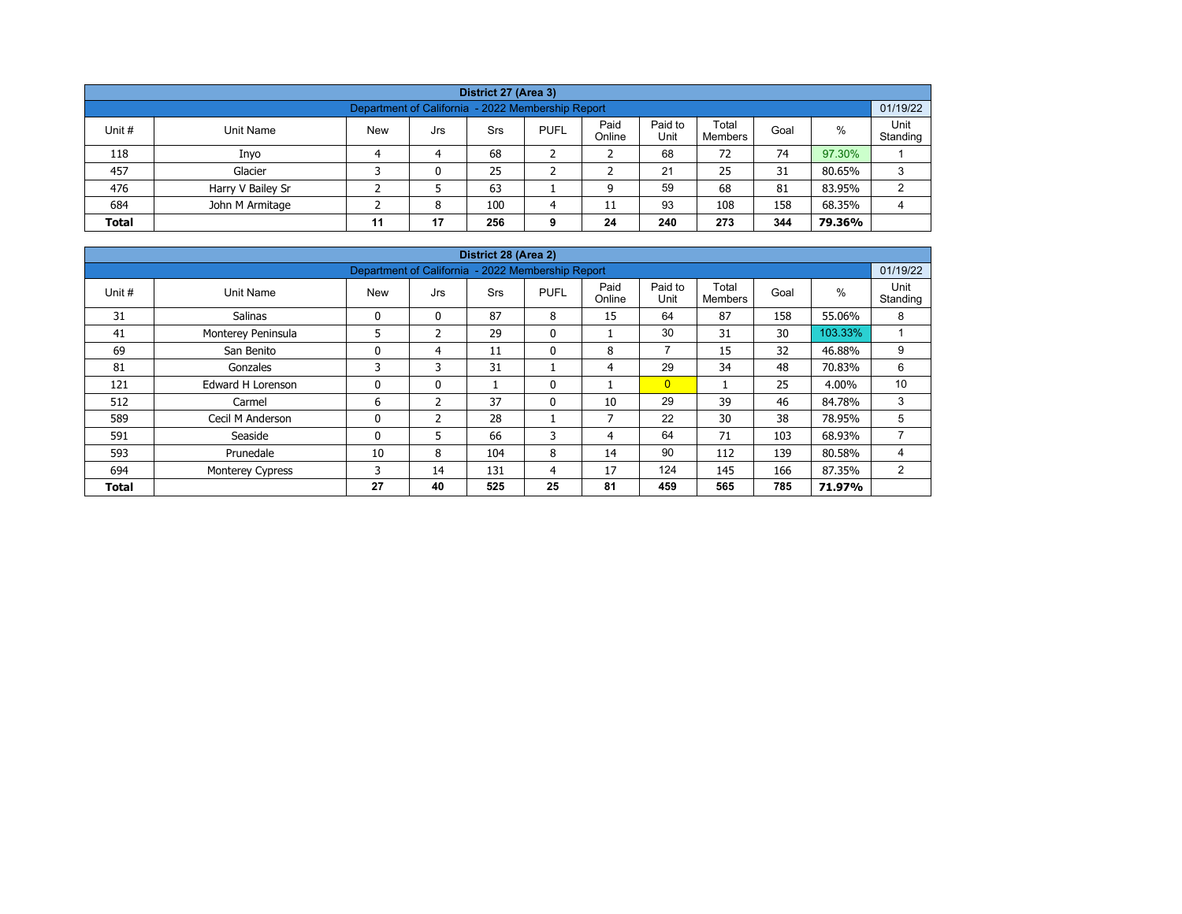| District 27 (Area 3)                                                                                                                                    |                   |  |   |     |   |    |    |     |     |        |   |  |  |  |
|---------------------------------------------------------------------------------------------------------------------------------------------------------|-------------------|--|---|-----|---|----|----|-----|-----|--------|---|--|--|--|
| Department of California - 2022 Membership Report                                                                                                       |                   |  |   |     |   |    |    |     |     |        |   |  |  |  |
| Paid to<br>Paid<br>Total<br>%<br>Unit #<br><b>New</b><br><b>PUFL</b><br>Unit Name<br>Srs<br>Goal<br>Jrs<br>Unit<br>Online<br>Standing<br><b>Members</b> |                   |  |   |     |   |    |    |     |     |        |   |  |  |  |
| 118                                                                                                                                                     | Inyo              |  | 4 | 68  |   |    | 68 | 72  | 74  | 97.30% |   |  |  |  |
| 457                                                                                                                                                     | Glacier           |  | 0 | 25  |   |    | 21 | 25  | 31  | 80.65% | 3 |  |  |  |
| 476                                                                                                                                                     | Harry V Bailey Sr |  |   | 63  |   |    | 59 | 68  | 81  | 83.95% | ົ |  |  |  |
| 684                                                                                                                                                     | John M Armitage   |  | 8 | 100 | 4 | 11 | 93 | 108 | 158 | 68.35% | 4 |  |  |  |
| 17<br>344<br>240<br>273<br>24<br><b>Total</b><br>256<br>79.36%<br>11<br>9                                                                               |                   |  |   |     |   |    |    |     |     |        |   |  |  |  |

| District 28 (Area 2)                                                       |                         |                                                   |               |            |              |                          |                 |                         |      |         |                  |  |  |  |
|----------------------------------------------------------------------------|-------------------------|---------------------------------------------------|---------------|------------|--------------|--------------------------|-----------------|-------------------------|------|---------|------------------|--|--|--|
|                                                                            |                         | Department of California - 2022 Membership Report |               |            |              |                          |                 |                         |      |         | 01/19/22         |  |  |  |
| Unit #                                                                     | Unit Name               | <b>New</b>                                        | Jrs           | <b>Srs</b> | <b>PUFL</b>  | Paid<br>Online           | Paid to<br>Unit | Total<br><b>Members</b> | Goal | $\%$    | Unit<br>Standing |  |  |  |
| 31                                                                         | <b>Salinas</b>          | 0                                                 | $\mathbf{0}$  | 87         | 8            | 15                       | 64              | 87                      | 158  | 55.06%  | 8                |  |  |  |
| 41                                                                         | Monterey Peninsula      | 5                                                 | $\mathcal{P}$ | 29         | $\mathbf{0}$ |                          | 30              | 31                      | 30   | 103.33% |                  |  |  |  |
| 69                                                                         | San Benito              | 0                                                 | 4             | 11         | 0            | 8                        | $\overline{7}$  | 15                      | 32   | 46.88%  | 9                |  |  |  |
| 81                                                                         | Gonzales                | 3                                                 | 3             | 31         |              | 4                        | 29              | 34                      | 48   | 70.83%  | 6                |  |  |  |
| 121                                                                        | Edward H Lorenson       | 0                                                 | $\mathbf{0}$  |            | 0            |                          | $\overline{0}$  |                         | 25   | 4.00%   | 10               |  |  |  |
| 512                                                                        | Carmel                  | 6                                                 | 2             | 37         | $\mathbf{0}$ | 10                       | 29              | 39                      | 46   | 84.78%  | 3                |  |  |  |
| 589                                                                        | Cecil M Anderson        | 0                                                 | 2             | 28         |              | $\overline{\phantom{a}}$ | 22              | 30                      | 38   | 78.95%  | 5                |  |  |  |
| 591                                                                        | Seaside                 | 0                                                 | 5.            | 66         | 3            | 4                        | 64              | 71                      | 103  | 68.93%  | ⇁                |  |  |  |
| 593                                                                        | Prunedale               | 10                                                | 8             | 104        | 8            | 14                       | 90              | 112                     | 139  | 80.58%  | 4                |  |  |  |
| 694                                                                        | <b>Monterey Cypress</b> | 3                                                 | 14            | 131        | 4            | 17                       | 124             | 145                     | 166  | 87.35%  | $\overline{2}$   |  |  |  |
| 27<br>25<br>565<br>40<br>525<br>81<br>459<br>785<br>71.97%<br><b>Total</b> |                         |                                                   |               |            |              |                          |                 |                         |      |         |                  |  |  |  |